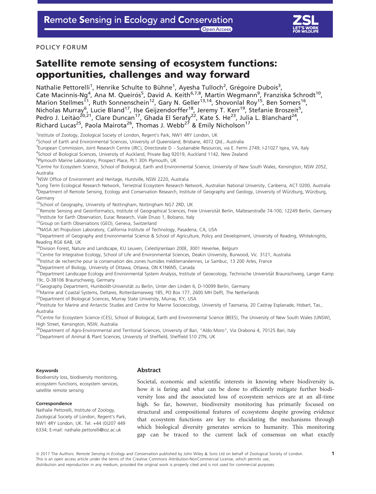**Open Access** 



POLICY FORUM

# Satellite remote sensing of ecosystem functions: opportunities, challenges and way forward

Nathalie Pettorelli<sup>1</sup>, Henrike Schulte to Bühne<sup>1</sup>, Ayesha Tulloch<sup>2</sup>, Grégoire Dubois<sup>3</sup>, Cate Macinnis-Ng<sup>4</sup>, Ana M. Queirós<sup>5</sup>, David A. Keith<sup>6,7,8</sup>, Martin Wegmann<sup>9</sup>, Franziska Schrodt<sup>10</sup>, Marion Stellmes<sup>11</sup>, Ruth Sonnenschein<sup>12</sup>, Gary N. Geller<sup>13,14</sup>, Shovonlal Roy<sup>15</sup>, Ben Somers<sup>16</sup>, Nicholas Murray<sup>6</sup>, Lucie Bland<sup>17</sup>, Ilse Geijzendorffer<sup>18</sup>, Jeremy T. Kerr<sup>19</sup>, Stefanie Broszeit<sup>5</sup>, Pedro J. Leitão<sup>20,21</sup>, Clare Duncan<sup>17</sup>, Ghada El Serafy<sup>22</sup>, Kate S. He<sup>23</sup>, Julia L. Blanchard<sup>24</sup>, Richard Lucas<sup>25</sup>, Paola Mairota<sup>26</sup>, Thomas J. Webb<sup>27</sup> & Emily Nicholson<sup>17</sup>

<sup>1</sup>Institute of Zoology, Zoological Society of London, Regent's Park, NW1 4RY London, UK

<sup>2</sup>School of Earth and Environmental Sciences, University of Queensland, Brisbane, 4072 Qld., Australia

<sup>3</sup>European Commission, Joint Research Centre (JRC), Directorate D – Sustainable Resources, via E. Fermi 2749, I-21027 Ispra, VA, Italy

4 School of Biological Sciences, University of Auckland, Private Bag 92019, Auckland 1142, New Zealand

5 Plymouth Marine Laboratory, Prospect Place, PL1 3Dh Plymouth, UK

<sup>6</sup>Centre for Ecosystem Science, School of Biological, Earth and Environmental Science, University of New South Wales, Kensington, NSW 2052, Australia

7 NSW Office of Environment and Heritage, Hurstville, NSW 2220, Australia

<sup>8</sup>Long Term Ecological Research Network, Terrestrial Ecosystem Research Network, Australian National University, Canberra, ACT 0200, Australia 9Department of Remote Sensing, Ecology and Conservation Research, Institute of Geography and Geology, University of Würzburg, Würzburg, Germany

<sup>10</sup>School of Geography, University of Nottingham, Nottingham NG7 2RD, UK

<sup>11</sup>Remote Sensing and Geoinformatics, Institute of Geographical Sciences, Freie Universität Berlin, Malteserstraße 74-100, 12249 Berlin, Germany

<sup>12</sup>Institute for Earth Observation, Eurac Research, Viale Druso 1, Bolzano, Italy

<sup>13</sup>Group on Earth Observations (GEO), Geneva, Switzerland

<sup>14</sup>NASA Jet Propulsion Laboratory, California Institute of Technology, Pasadena, CA, USA

<sup>15</sup>Department of Geography and Environmental Science & School of Agriculture, Policy and Development, University of Reading, Whiteknights, Reading RG6 6AB, UK

<sup>16</sup>Division Forest, Nature and Landscape, KU Leuven, Celestijnenlaan 200E, 3001 Heverlee, Belgium

<sup>17</sup>Centre for Integrative Ecology, School of Life and Environmental Sciences, Deakin University, Burwood, Vic. 3121, Australia

<sup>18</sup>Institut de recherche pour la conservation des zones humides méditerranéennes, Le Sambuc, 13 200 Arles, France

<sup>19</sup>Department of Biology, University of Ottawa, Ottawa, ON K1N6N5, Canada

<sup>20</sup>Department Landscape Ecology and Environmental System Analysis, Institute of Geoecology, Technische Universität Braunschweig, Langer Kamp 19c, D-38106 Braunschweig, Germany

<sup>21</sup>Geography Department, Humboldt-Universität zu Berlin, Unter den Linden 6, D-10099 Berlin, Germany

<sup>22</sup>Marine and Coastal Systems, Deltares, Rotterdamseweg 185, PO Box 177, 2600 MH Delft, The Netherlands

<sup>23</sup>Department of Biological Sciences, Murray State University, Murray, KY, USA

<sup>24</sup>Institute for Marine and Antarctic Studies and Centre for Marine Socioecology, University of Tasmania, 20 Castray Esplanade, Hobart, Tas., Australia

<sup>25</sup>Centre for Ecosystem Science (CES), School of Biological, Earth and Environmental Science (BEES), The University of New South Wales (UNSW), High Street, Kensington, NSW, Australia

<sup>26</sup>Department of Agro-Environmental and Territorial Sciences, University of Bari, "Aldo Moro", Via Orabona 4, 70125 Bari, Italy

<sup>27</sup>Department of Animal & Plant Sciences, University of Sheffield, Sheffield S10 2TN, UK

#### Keywords

Biodiversity loss, biodiversity monitoring, ecosystem functions, ecosystem services, satellite remote sensing

#### Correspondence

Nathalie Pettorelli, Institute of Zoology, Zoological Society of London, Regent's Park, NW1 4RY London, UK. Tel: +44 (0)207 449 6334; E-mail: nathalie.pettorelli@ioz.ac.uk

Abstract

Societal, economic and scientific interests in knowing where biodiversity is, how it is faring and what can be done to efficiently mitigate further biodiversity loss and the associated loss of ecosystem services are at an all-time high. So far, however, biodiversity monitoring has primarily focused on structural and compositional features of ecosystems despite growing evidence that ecosystem functions are key to elucidating the mechanisms through which biological diversity generates services to humanity. This monitoring gap can be traced to the current lack of consensus on what exactly

1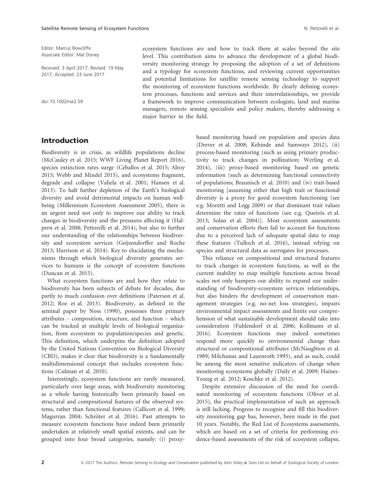Editor: Marcus Rowcliffe Associate Editor: Mat Disney

Received: 3 April 2017; Revised: 19 May 2017; Accepted: 23 June 2017

doi: 10.1002/rse2.59

ecosystem functions are and how to track them at scales beyond the site level. This contribution aims to advance the development of a global biodiversity monitoring strategy by proposing the adoption of a set of definitions and a typology for ecosystem functions, and reviewing current opportunities and potential limitations for satellite remote sensing technology to support the monitoring of ecosystem functions worldwide. By clearly defining ecosystem processes, functions and services and their interrelationships, we provide a framework to improve communication between ecologists, land and marine managers, remote sensing specialists and policy makers, thereby addressing a major barrier in the field.

# Introduction

Biodiversity is in crisis, as wildlife populations decline (McCauley et al. 2015; WWF Living Planet Report 2016), species extinction rates surge (Ceballos et al. 2015; Alroy 2015; Webb and Mindel 2015), and ecosystems fragment, degrade and collapse (Valiela et al. 2001; Hansen et al. 2013). To halt further depletion of the Earth's biological diversity and avoid detrimental impacts on human wellbeing (Millennium Ecosystem Assessment 2005), there is an urgent need not only to improve our ability to track changes in biodiversity and the pressures affecting it (Halpern et al. 2008; Pettorelli et al. 2014), but also to further our understanding of the relationships between biodiversity and ecosystem services (Geijzendorffer and Roche 2013; Harrison et al. 2014). Key to elucidating the mechanisms through which biological diversity generates services to humans is the concept of ecosystem functions (Duncan et al. 2015).

What ecosystem functions are and how they relate to biodiversity has been subjects of debate for decades, due partly to much confusion over definitions (Paterson et al. 2012; Roe et al. 2013). Biodiversity, as defined in the seminal paper by Noss (1990), possesses three primary attributes – composition, structure, and function – which can be tracked at multiple levels of biological organization, from ecosystem to population/species and genetic. This definition, which underpins the definition adopted by the United Nations Convention on Biological Diversity (CBD), makes it clear that biodiversity is a fundamentally multidimensional concept that includes ecosystem functions (Culman et al. 2010).

Interestingly, ecosystem functions are rarely measured, particularly over large areas, with biodiversity monitoring as a whole having historically been primarily based on structural and compositional features of the observed systems, rather than functional features (Callicott et al. 1999; Magurran 2004; Schröter et al. 2016). Past attempts to measure ecosystem functions have indeed been primarily undertaken at relatively small spatial extents, and can be grouped into four broad categories, namely: (i) proxybased monitoring based on population and species data (Drever et al. 2008; Kehinde and Samways 2012), (ii) process-based monitoring (such as using primary productivity to track changes in pollination; Werling et al. 2014), (iii) proxy-based monitoring based on genetic information (such as determining functional connectivity of populations; Braunisch et al. 2010) and (iv) trait-based monitoring [assuming either that high trait or functional diversity is a proxy for good ecosystem functioning (see e.g. Moretti and Legg 2009) or that dominant trait values determine the rates of functions (see e.g. Queirós et al. 2013; Solan et al. 2004)]. Most ecosystem assessments and conservation efforts then fail to account for functions due to a perceived lack of adequate spatial data to map these features (Tulloch et al. 2016), instead relying on species and structural data as surrogates for processes.

This reliance on compositional and structural features to track changes in ecosystem functions, as well as the current inability to map multiple functions across broad scales not only hampers our ability to expand our understanding of biodiversity-ecosystem services relationships, but also hinders the development of conservation management strategies (e.g. no-net loss strategies), impairs environmental impact assessments and limits our comprehension of what sustainable development should take into consideration (Fuhlendorf et al. 2006; Kollmann et al. 2016). Ecosystem functions may indeed sometimes respond more quickly to environmental change than structural or compositional attributes (McNaughton et al. 1989; Milchunas and Lauenroth 1995), and as such, could be among the most sensitive indicators of change when monitoring ecosystems globally (Daily et al. 2009; Haines-Young et al. 2012; Koschke et al. 2012).

Despite extensive discussion of the need for coordinated monitoring of ecosystem functions (Oliver et al. 2015), the practical implementation of such an approach is still lacking. Progress to recognize and fill this biodiversity monitoring gap has, however, been made in the past 10 years. Notably, the Red List of Ecosystems assessments, which are based on a set of criteria for performing evidence-based assessments of the risk of ecosystem collapse,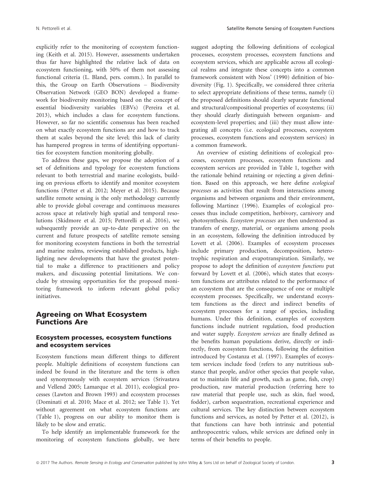explicitly refer to the monitoring of ecosystem functioning (Keith et al. 2015). However, assessments undertaken thus far have highlighted the relative lack of data on ecosystem functioning, with 50% of them not assessing functional criteria (L. Bland, pers. comm.). In parallel to this, the Group on Earth Observations – Biodiversity Observation Network (GEO BON) developed a framework for biodiversity monitoring based on the concept of essential biodiversity variables (EBVs) (Pereira et al. 2013), which includes a class for ecosystem functions. However, so far no scientific consensus has been reached on what exactly ecosystem functions are and how to track them at scales beyond the site level; this lack of clarity has hampered progress in terms of identifying opportunities for ecosystem function monitoring globally.

To address these gaps, we propose the adoption of a set of definitions and typology for ecosystem functions relevant to both terrestrial and marine ecologists, building on previous efforts to identify and monitor ecosystem functions (Petter et al. 2012; Meyer et al. 2015). Because satellite remote sensing is the only methodology currently able to provide global coverage and continuous measures across space at relatively high spatial and temporal resolutions (Skidmore et al. 2015; Pettorelli et al. 2016), we subsequently provide an up-to-date perspective on the current and future prospects of satellite remote sensing for monitoring ecosystem functions in both the terrestrial and marine realms, reviewing established products, highlighting new developments that have the greatest potential to make a difference to practitioners and policy makers, and discussing potential limitations. We conclude by stressing opportunities for the proposed monitoring framework to inform relevant global policy initiatives.

# Agreeing on What Ecosystem Functions Are

#### Ecosystem processes, ecosystem functions and ecosystem services

Ecosystem functions mean different things to different people. Multiple definitions of ecosystem functions can indeed be found in the literature and the term is often used synonymously with ecosystem services (Srivastava and Vellend 2005; Lamarque et al. 2011), ecological processes (Lawton and Brown 1993) and ecosystem processes (Dominati et al. 2010; Mace et al. 2012; see Table 1). Yet without agreement on what ecosystem functions are (Table 1), progress on our ability to monitor them is likely to be slow and erratic.

To help identify an implementable framework for the monitoring of ecosystem functions globally, we here suggest adopting the following definitions of ecological processes, ecosystem processes, ecosystem functions and ecosystem services, which are applicable across all ecological realms and integrate these concepts into a common framework consistent with Noss' (1990) definition of biodiversity (Fig. 1). Specifically, we considered three criteria to select appropriate definitions of these terms, namely (i) the proposed definitions should clearly separate functional and structural/compositional properties of ecosystems; (ii) they should clearly distinguish between organism- and ecosystem-level properties; and (iii) they must allow integrating all concepts (i.e. ecological processes, ecosystem processes, ecosystem functions and ecosystem services) in a common framework.

An overview of existing definitions of ecological processes, ecosystem processes, ecosystem functions and ecosystem services are provided in Table 1, together with the rationale behind retaining or rejecting a given definition. Based on this approach, we here define ecological processes as activities that result from interactions among organisms and between organisms and their environment, following Martinez (1996). Examples of ecological processes thus include competition, herbivory, carnivory and photosynthesis. Ecosystem processes are then understood as transfers of energy, material, or organisms among pools in an ecosystem, following the definition introduced by Lovett et al. (2006). Examples of ecosystem processes include primary production, decomposition, heterotrophic respiration and evapotranspiration. Similarly, we propose to adopt the definition of ecosystem functions put forward by Lovett et al. (2006), which states that ecosystem functions are attributes related to the performance of an ecosystem that are the consequence of one or multiple ecosystem processes. Specifically, we understand ecosystem functions as the direct and indirect benefits of ecosystem processes for a range of species, including humans. Under this definition, examples of ecosystem functions include nutrient regulation, food production and water supply. Ecosystem services are finally defined as the benefits human populations derive, directly or indirectly, from ecosystem functions, following the definition introduced by Costanza et al. (1997). Examples of ecosystem services include food (refers to any nutritious substance that people, and/or other species that people value, eat to maintain life and growth, such as game, fish, crop) production, raw material production (referring here to raw material that people use, such as skin, fuel wood, fodder), carbon sequestration, recreational experience and cultural services. The key distinction between ecosystem functions and services, as noted by Petter et al. (2012), is that functions can have both intrinsic and potential anthropocentric values, while services are defined only in terms of their benefits to people.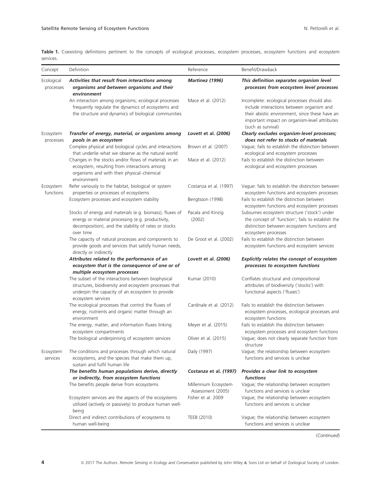Table 1. Coexisting definitions pertinent to the concepts of ecological processes, ecosystem processes, ecosystem functions and ecosystem services.

| Concept                 | Definition                                                                                                                                                                            | Reference                                 | Benefit/Drawback                                                                                                                                                                                                   |
|-------------------------|---------------------------------------------------------------------------------------------------------------------------------------------------------------------------------------|-------------------------------------------|--------------------------------------------------------------------------------------------------------------------------------------------------------------------------------------------------------------------|
| Ecological<br>processes | Activities that result from interactions among<br>organisms and between organisms and their<br>environment                                                                            | Martinez (1996)                           | This definition separates organism level<br>processes from ecosystem level processes                                                                                                                               |
|                         | An interaction among organisms; ecological processes<br>frequently regulate the dynamics of ecosystems and<br>the structure and dynamics of biological communities                    | Mace et al. (2012)                        | Incomplete: ecological processes should also<br>include interactions between organism and<br>their abiotic environment, since these have an<br>important impact on organism-level attributes<br>(such as survival) |
| Ecosystem<br>processes  | Transfer of energy, material, or organisms among<br>pools in an ecosystem                                                                                                             | Lovett et al. (2006)                      | Clearly excludes organism-level processes;<br>does not refer to stocks of materials                                                                                                                                |
|                         | Complex physical and biological cycles and interactions<br>that underlie what we observe as the natural world                                                                         | Brown et al. (2007)                       | Vague; fails to establish the distinction between<br>ecological and ecosystem processes                                                                                                                            |
|                         | Changes in the stocks and/or flows of materials in an<br>ecosystem, resulting from interactions among<br>organisms and with their physical-chemical<br>environment                    | Mace et al. (2012)                        | Fails to establish the distinction between<br>ecological and ecosystem processes                                                                                                                                   |
| Ecosystem<br>functions  | Refer variously to the habitat, biological or system<br>properties or processes of ecosystems                                                                                         | Costanza et al. (1997)                    | Vague: fails to establish the distinction between<br>ecosystem functions and ecosystem processes                                                                                                                   |
|                         | Ecosystem processes and ecosystem stability                                                                                                                                           | Bengtsson (1998)                          | Fails to establish the distinction between<br>ecosystem functions and ecosystem processes                                                                                                                          |
|                         | Stocks of energy and materials (e.g. biomass), fluxes of<br>energy or material processing (e.g. productivity,<br>decomposition), and the stability of rates or stocks<br>over time    | Pacala and Kinzig<br>(2002)               | Subsumes ecosystem structure ('stock') under<br>the concept of 'function'; fails to establish the<br>distinction between ecosystem functions and<br>ecosystem processes                                            |
|                         | The capacity of natural processes and components to<br>provide goods and services that satisfy human needs,<br>directly or indirectly                                                 | De Groot et al. (2002)                    | Fails to establish the distinction between<br>ecosystem functions and ecosystem services                                                                                                                           |
|                         | Attributes related to the performance of an<br>ecosystem that is the consequence of one or of<br>multiple ecosystem processes                                                         | Lovett et al. (2006)                      | Explicitly relates the concept of ecosystem<br>processes to ecosystem functions                                                                                                                                    |
|                         | The subset of the interactions between biophysical<br>structures, biodiversity and ecosystem processes that<br>underpin the capacity of an ecosystem to provide<br>ecosystem services | Kumar (2010)                              | Conflates structural and compositional<br>attributes of biodiversity ('stocks') with<br>functional aspects ('fluxes')                                                                                              |
|                         | The ecological processes that control the fluxes of<br>energy, nutrients and organic matter through an<br>environment                                                                 | Cardinale et al. (2012)                   | Fails to establish the distinction between<br>ecosystem processes, ecological processes and<br>ecosystem functions                                                                                                 |
|                         | The energy, matter, and information fluxes linking<br>ecosystem compartments                                                                                                          | Meyer et al. (2015)                       | Fails to establish the distinction between<br>ecosystem processes and ecosystem functions                                                                                                                          |
|                         | The biological underpinning of ecosystem services                                                                                                                                     | Oliver et al. (2015)                      | Vague; does not clearly separate function from<br>structure                                                                                                                                                        |
| Ecosystem<br>services   | The conditions and processes through which natural<br>ecosystems, and the species that make them up,<br>sustain and fulfil human life                                                 | Daily (1997)                              | Vague; the relationship between ecosystem<br>functions and services is unclear                                                                                                                                     |
|                         | The benefits human populations derive, directly<br>or indirectly, from ecosystem functions                                                                                            | Costanza et al. (1997)                    | Provides a clear link to ecosystem<br><b>functions</b>                                                                                                                                                             |
|                         | The benefits people derive from ecosystems                                                                                                                                            | Millennium Ecosystem<br>Assessment (2005) | Vague; the relationship between ecosystem<br>functions and services is unclear                                                                                                                                     |
|                         | Ecosystem services are the aspects of the ecosystems<br>utilized (actively or passively) to produce human well-<br>being                                                              | Fisher et al. 2009                        | Vague; the relationship between ecosystem<br>functions and services is unclear                                                                                                                                     |
|                         | Direct and indirect contributions of ecosystems to<br>human well-being                                                                                                                | TEEB (2010)                               | Vague; the relationship between ecosystem<br>functions and services is unclear                                                                                                                                     |

(Continued)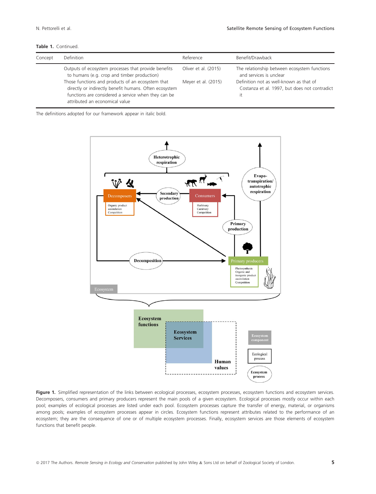| Concept | <b>Definition</b>                                                                                                                                                  | Reference            | Benefit/Drawback                                                                         |
|---------|--------------------------------------------------------------------------------------------------------------------------------------------------------------------|----------------------|------------------------------------------------------------------------------------------|
|         | Outputs of ecosystem processes that provide benefits<br>to humans (e.g. crop and timber production)                                                                | Oliver et al. (2015) | The relationship between ecosystem functions<br>and services is unclear                  |
|         | Those functions and products of an ecosystem that<br>directly or indirectly benefit humans. Often ecosystem<br>functions are considered a service when they can be | Meyer et al. (2015)  | Definition not as well-known as that of<br>Costanza et al. 1997, but does not contradict |
|         | attributed an economical value                                                                                                                                     |                      |                                                                                          |

The definitions adopted for our framework appear in italic bold.



Figure 1. Simplified representation of the links between ecological processes, ecosystem processes, ecosystem functions and ecosystem services. Decomposers, consumers and primary producers represent the main pools of a given ecosystem. Ecological processes mostly occur within each pool; examples of ecological processes are listed under each pool. Ecosystem processes capture the transfer of energy, material, or organisms among pools; examples of ecosystem processes appear in circles. Ecosystem functions represent attributes related to the performance of an ecosystem; they are the consequence of one or of multiple ecosystem processes. Finally, ecosystem services are those elements of ecosystem functions that benefit people.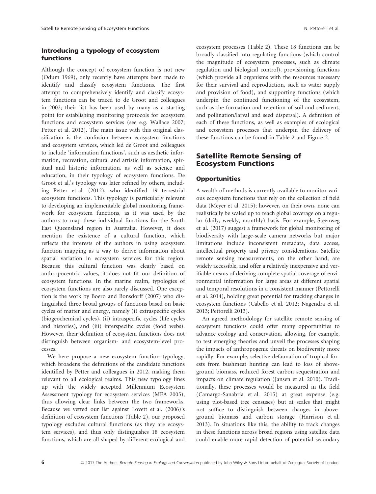# Introducing a typology of ecosystem functions

Although the concept of ecosystem function is not new (Odum 1969), only recently have attempts been made to identify and classify ecosystem functions. The first attempt to comprehensively identify and classify ecosystem functions can be traced to de Groot and colleagues in 2002; their list has been used by many as a starting point for establishing monitoring protocols for ecosystem functions and ecosystem services (see e.g. Wallace 2007; Petter et al. 2012). The main issue with this original classification is the confusion between ecosystem functions and ecosystem services, which led de Groot and colleagues to include 'information functions', such as aesthetic information, recreation, cultural and artistic information, spiritual and historic information, as well as science and education, in their typology of ecosystem functions. De Groot et al.'s typology was later refined by others, including Petter et al. (2012), who identified 19 terrestrial ecosystem functions. This typology is particularly relevant to developing an implementable global monitoring framework for ecosystem functions, as it was used by the authors to map these individual functions for the South East Queensland region in Australia. However, it does mention the existence of a cultural function, which reflects the interests of the authors in using ecosystem function mapping as a way to derive information about spatial variation in ecosystem services for this region. Because this cultural function was clearly based on anthropocentric values, it does not fit our definition of ecosystem functions. In the marine realm, typologies of ecosystem functions are also rarely discussed. One exception is the work by Boero and Bonsdorff (2007) who distinguished three broad groups of functions based on basic cycles of matter and energy, namely (i) extraspecific cycles (biogeochemical cycles), (ii) intraspecific cycles (life cycles and histories), and (iii) interspecific cycles (food webs). However, their definition of ecosystem functions does not distinguish between organism- and ecosystem-level processes.

We here propose a new ecosystem function typology, which broadens the definitions of the candidate functions identified by Petter and colleagues in 2012, making them relevant to all ecological realms. This new typology lines up with the widely accepted Millennium Ecosystem Assessment typology for ecosystem services (MEA 2005), thus allowing clear links between the two frameworks. Because we vetted our list against Lovett et al. (2006)'s definition of ecosystem functions (Table 2), our proposed typology excludes cultural functions (as they are ecosystem services), and thus only distinguishes 18 ecosystem functions, which are all shaped by different ecological and ecosystem processes (Table 2). These 18 functions can be broadly classified into regulating functions (which control the magnitude of ecosystem processes, such as climate regulation and biological control), provisioning functions (which provide all organisms with the resources necessary for their survival and reproduction, such as water supply and provision of food), and supporting functions (which underpin the continued functioning of the ecosystem, such as the formation and retention of soil and sediment, and pollination/larval and seed dispersal). A definition of each of these functions, as well as examples of ecological and ecosystem processes that underpin the delivery of these functions can be found in Table 2 and Figure 2.

# Satellite Remote Sensing of Ecosystem Functions

#### **Opportunities**

A wealth of methods is currently available to monitor various ecosystem functions that rely on the collection of field data (Meyer et al. 2015); however, on their own, none can realistically be scaled up to reach global coverage on a regular (daily, weekly, monthly) basis. For example, Steenweg et al. (2017) suggest a framework for global monitoring of biodiversity with large-scale camera networks but major limitations include inconsistent metadata, data access, intellectual property and privacy considerations. Satellite remote sensing measurements, on the other hand, are widely accessible, and offer a relatively inexpensive and verifiable means of deriving complete spatial coverage of environmental information for large areas at different spatial and temporal resolutions in a consistent manner (Pettorelli et al. 2014), holding great potential for tracking changes in ecosystem functions (Cabello et al. 2012; Nagendra et al. 2013; Pettorelli 2013).

An agreed methodology for satellite remote sensing of ecosystem functions could offer many opportunities to advance ecology and conservation, allowing, for example, to test emerging theories and unveil the processes shaping the impacts of anthropogenic threats on biodiversity more rapidly. For example, selective defaunation of tropical forests from bushmeat hunting can lead to loss of aboveground biomass, reduced forest carbon sequestration and impacts on climate regulation (Jansen et al. 2010). Traditionally, these processes would be measured in the field (Camargo-Sanabria et al. 2015) at great expense (e.g. using plot-based tree censuses) but at scales that might not suffice to distinguish between changes in aboveground biomass and carbon storage (Harrison et al. 2013). In situations like this, the ability to track changes in these functions across broad regions using satellite data could enable more rapid detection of potential secondary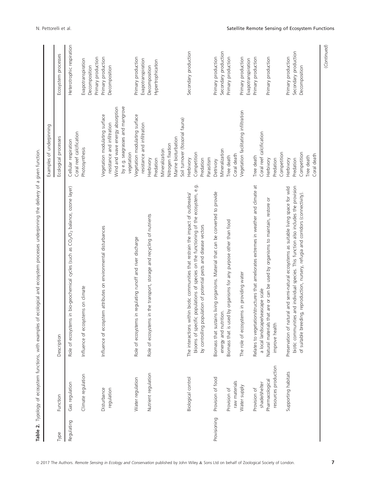|              |                                                    |                                                                                                                                                                                                                                                                        | Examples of underpinning                                                                                                                         |                                                                  |
|--------------|----------------------------------------------------|------------------------------------------------------------------------------------------------------------------------------------------------------------------------------------------------------------------------------------------------------------------------|--------------------------------------------------------------------------------------------------------------------------------------------------|------------------------------------------------------------------|
| Type         | Function                                           | Description                                                                                                                                                                                                                                                            | Ecological processes                                                                                                                             | Ecosystem processes                                              |
| Regulating   | Gas regulation                                     | Role of ecosystems in bio-geochemical cycles (such as CO <sub>2</sub> /O <sub>2</sub> balance, ozone layer)                                                                                                                                                            | Coral reef calcification<br>Cellular respiration                                                                                                 | Heterotrophic respiration                                        |
|              | Climate regulation                                 | Influence of ecosystems on climate                                                                                                                                                                                                                                     | Photosynthesis                                                                                                                                   | Primary production<br>Evapotranspiration<br>Decomposition        |
|              | regulation<br>Disturbance                          | Influence of ecosystem attributes on environmental disturbances                                                                                                                                                                                                        | by e.g. seagrasses and mangrove<br>Wind and wave energy absorption<br>Vegetation modulating surface<br>resistance and infiltration<br>vegetation | Primary production<br>Decomposition                              |
|              | Water regulation                                   | Role of ecosystems in regulating runoff and river discharge                                                                                                                                                                                                            | Vegetation modulating surface<br>resistance and infiltration                                                                                     | Primary production<br>Evapotranspiration                         |
|              | Nutrient regulation                                | Role of ecosystems in the transport, storage and recycling of nutrients                                                                                                                                                                                                | Mineralization<br>Predation<br>Herbivory                                                                                                         | Hypertrophication<br>Decomposition                               |
|              |                                                    |                                                                                                                                                                                                                                                                        | Soil turnover (fossorial fauna)<br>Marine bioturbation<br>Nitrogen fixation                                                                      |                                                                  |
|              | <b>Biological control</b>                          | blooms of specific populations of species on the functioning of the ecosystem, e.g.<br>The interactions within biotic communities that restrain the impact of outbreaks/<br>population of potential pests and disease vectors<br>by controlling                        | Competition<br>Parasitism<br>Herbivory<br>Predation                                                                                              | Secondary production                                             |
| Provisioning | Provision of food<br>raw materials<br>Provision of | Biomass that sustains living organisms. Material that can be converted to provide<br>Biomass that is used by organisms for any purpose other than food<br>energy and nutrition                                                                                         | Mineralization<br>Coral death<br>Tree death<br>Detrivory                                                                                         | Secondary production<br>Primary production<br>Primary production |
|              | Water supply                                       | The role of ecosystems in providing water                                                                                                                                                                                                                              | Vegetation facilitating infiltration                                                                                                             | Primary production<br>Evapotranspiration                         |
|              | shade/shelter<br>Provision of                      | Relates to vegetation/structures that ameliorates extremes in weather and climate at<br>a local landscape/seascape scale                                                                                                                                               | Coral reef calcification<br>Tree death                                                                                                           | Primary production                                               |
|              | resources production<br>Pharmacological            | Natural materials that are or can be used by organisms to maintain, restore or<br>improve health                                                                                                                                                                       | Competition<br>Predation<br>Herbivory                                                                                                            | Primary production                                               |
|              | Supporting habitats                                | biotic communities and individual species. This function also includes the provision<br>natural and semi-natural ecosystems as suitable living space for wild<br>of suitable breeding, reproduction, nursery, refugia and corridors (connectivity).<br>Preservation of | Competition<br>Coral death<br>Tree death<br>Predation<br>Herbivory                                                                               | Secondary production<br>Primary production<br>Decomposition      |

Table 2. Typology of ecosystem functions, with examples of ecological and ecosystem processes underpinning the delivery of a given function.

Table 2. Typology of ecosystem functions, with examples of ecological and ecosystem processes underpinning the delivery of a given function.

<sup>(</sup>Continued) (Continued)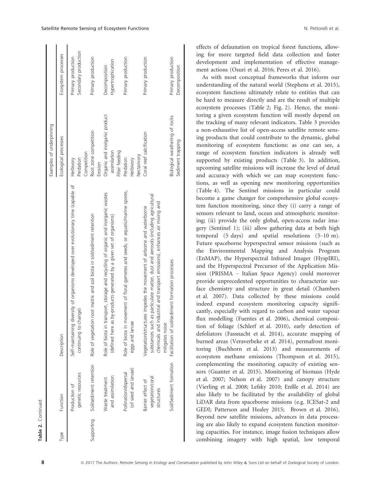|            |                                                     |                                                                                                                                                                                                                                                               | Examples of underpinning                                        |                                            |
|------------|-----------------------------------------------------|---------------------------------------------------------------------------------------------------------------------------------------------------------------------------------------------------------------------------------------------------------------|-----------------------------------------------------------------|--------------------------------------------|
| Type       | Function                                            | Description                                                                                                                                                                                                                                                   | Ecological processes                                            | Ecosystem processes                        |
|            | genetic resources<br>Production of                  | Self-maintaining diversity of organisms developed over evolutionary time (capable of<br>continuing to change)                                                                                                                                                 | Competition<br>Predation<br>Herbivory                           | Secondary production<br>Primary production |
| Supporting | Soil/sediment retention                             | Role of vegetation root matrix and soil biota in soil/sediment retention                                                                                                                                                                                      | Root zone competition<br>Erosion                                | Primary production                         |
|            | and assimilation<br>Waste treatment                 | in transport, storage and recycling of organic and inorganic wastes<br>(defined here as by-products generated by a given set of organisms)<br>Role of biota                                                                                                   | Organic and inorganic product<br>assimilation<br>Filter feeding | Hypertrophication<br>Decomposition         |
|            | (of seed and larvae)<br>Pollination/dispersal       | Role of biota in movement of floral gametes and seeds, or aquatic/marine spores,<br>eggs and larvae                                                                                                                                                           | Nectarivory<br>Predation<br>Herbivory                           | Primary production                         |
|            | vegetation/coral<br>Barrier effect of<br>structures | such as particulate matter, dust and aerosols (including agricultural<br>chemicals and industrial and transport emissions), enhances air mixing and<br>Vegetation/structures impedes the movement of airborne and waterborne<br>mitigates noise<br>substances | Coral reef calcification                                        | Primary production                         |
|            | Soil/Sediment formation                             | Facilitation of soil/sediment formation processes                                                                                                                                                                                                             | Biological weathering of rocks<br>Sediment trapping             | Primary production<br>Decomposition        |

As with most conceptual frameworks that inform our understanding of the natural world (Stephens et al. 2015), ecosystem functions ultimately relate to entities that can be hard to measure directly and are the result of multiple ecosystem processes (Table 2; Fig. 2). Hence, the monitoring a given ecosystem function will mostly depend on the tracking of many relevant indicators. Table 3 provides a non-exhaustive list of open-access satellite remote sensing products that could contribute to the dynamic, global monitoring of ecosystem functions: as one can see, a range of ecosystem function indicators is already well supported by existing products (Table 3). In addition, upcoming satellite missions will increase the level of detail and accuracy with which we can map ecosystem functions, as well as opening new monitoring opportunities (Table 4). The Sentinel missions in particular could become a game changer for comprehensive global ecosystem function monitoring, since they (i) carry a range of sensors relevant to land, ocean and atmospheric monitoring; (ii) provide the only global, open-access radar imagery (Sentinel 1); (iii) allow gathering data at both high temporal (5 days) and spatial resolutions (5–10 m). Future spaceborne hyperspectral sensor missions (such as the Environmental Mapping and Analysis Program (EnMAP), the Hyperspectral Infrared Imager (HyspIRI), and the Hyperspectral Precursor of the Application Mission (PRISMA – Italian Space Agency) could moreover provide unprecedented opportunities to characterize surface chemistry and structure in great detail (Chambers et al. 2007). Data collected by these missions could indeed expand ecosystem monitoring capacity significantly, especially with regard to carbon and water vapour flux modelling (Fuentes et al. 2006), chemical composition of foliage (Schlerf et al. 2010), early detection of defoliators (Fassnacht et al. 2014), accurate mapping of burned areas (Veraverbeke et al. 2014), permafrost monitoring (Buchhorn et al. 2013) and measurements of ecosystem methane emissions (Thompson et al. 2015), complementing the monitoring capacity of existing sensors (Guanter et al. 2015). Monitoring of biomass (Hyde et al. 2007; Nelson et al. 2007) and canopy structure (Vierling et al. 2008; Lefsky 2010; Enßle et al. 2014) are also likely to be facilitated by the availability of global LiDAR data from spaceborne missions (e.g. ICESat-2 and GEDI; Patterson and Healey 2015; Brown et al. 2016). Beyond new satellite missions, advances in data processing are also likely to expand ecosystem function monitoring capacities. For instance, image fusion techniques allow combining imagery with high spatial, low temporal

 $\mathbf{r}$  $\sim$  1  $\sim$ 

Table 2. Continued

Continued.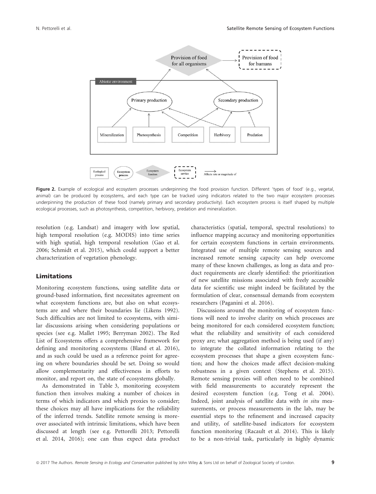

Figure 2. Example of ecological and ecosystem processes underpinning the food provision function. Different 'types of food' (e.g., vegetal, animal) can be produced by ecosystems, and each type can be tracked using indicators related to the two major ecosystem processes underpinning the production of these food (namely primary and secondary productivity). Each ecosystem process is itself shaped by multiple ecological processes, such as photosynthesis, competition, herbivory, predation and mineralization.

resolution (e.g. Landsat) and imagery with low spatial, high temporal resolution (e.g. MODIS) into time series with high spatial, high temporal resolution (Gao et al. 2006; Schmidt et al. 2015), which could support a better characterization of vegetation phenology.

#### Limitations

Monitoring ecosystem functions, using satellite data or ground-based information, first necessitates agreement on what ecosystem functions are, but also on what ecosystems are and where their boundaries lie (Likens 1992). Such difficulties are not limited to ecosystems, with similar discussions arising when considering populations or species (see e.g. Mallet 1995; Berryman 2002). The Red List of Ecosystems offers a comprehensive framework for defining and monitoring ecosystems (Bland et al. 2016), and as such could be used as a reference point for agreeing on where boundaries should be set. Doing so would allow complementarity and effectiveness in efforts to monitor, and report on, the state of ecosystems globally.

As demonstrated in Table 3, monitoring ecosystem function then involves making a number of choices in terms of which indicators and which proxies to consider; these choices may all have implications for the reliability of the inferred trends. Satellite remote sensing is moreover associated with intrinsic limitations, which have been discussed at length (see e.g. Pettorelli 2013; Pettorelli et al. 2014, 2016); one can thus expect data product characteristics (spatial, temporal, spectral resolutions) to influence mapping accuracy and monitoring opportunities for certain ecosystem functions in certain environments. Integrated use of multiple remote sensing sources and increased remote sensing capacity can help overcome many of these known challenges, as long as data and product requirements are clearly identified: the prioritization of new satellite missions associated with freely accessible data for scientific use might indeed be facilitated by the formulation of clear, consensual demands from ecosystem researchers (Paganini et al. 2016).

Discussions around the monitoring of ecosystem functions will need to involve clarity on which processes are being monitored for each considered ecosystem function; what the reliability and sensitivity of each considered proxy are; what aggregation method is being used (if any) to integrate the collated information relating to the ecosystem processes that shape a given ecosystem function; and how the choices made affect decision-making robustness in a given context (Stephens et al. 2015). Remote sensing proxies will often need to be combined with field measurements to accurately represent the desired ecosystem function (e.g. Tong et al. 2004). Indeed, joint analysis of satellite data with in situ measurements, or process measurements in the lab, may be essential steps to the refinement and increased capacity and utility, of satellite-based indicators for ecosystem function monitoring (Racault et al. 2014). This is likely to be a non-trivial task, particularly in highly dynamic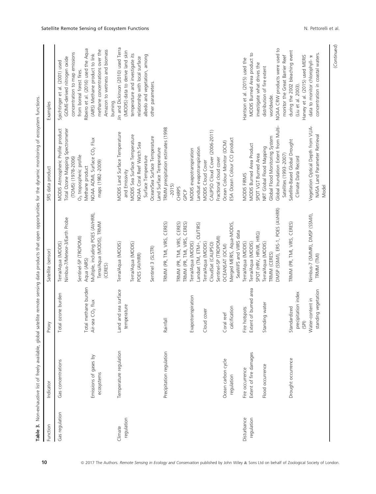| Function                  | Indicator                                                     | Proxy                                                                                  | Satellite (sensor)                                                                                                                                                                                                                                                         | SRS data product                                                                                                                                                                                                                                                            | Examples                                                                                                                                                                                                                                                                  |
|---------------------------|---------------------------------------------------------------|----------------------------------------------------------------------------------------|----------------------------------------------------------------------------------------------------------------------------------------------------------------------------------------------------------------------------------------------------------------------------|-----------------------------------------------------------------------------------------------------------------------------------------------------------------------------------------------------------------------------------------------------------------------------|---------------------------------------------------------------------------------------------------------------------------------------------------------------------------------------------------------------------------------------------------------------------------|
| Gas regulation            | Emissions of gases by<br>Gas concentrations<br>ecosystems     | Total methane burden<br>Total ozone burden<br>Air-sea CO <sub>2</sub> flux             | Multiple, including POES (AVHRR),<br>Nimbus-7/Meteor-3/Earth Probe<br>Terra/Aqua (MODIS), TRMM<br>Sentinel-5P (TROPOMI)<br>Terra/Aqua (MODIS)<br>Aqua (AIRS)<br>(CERES)                                                                                                    | MODIS Atmospheric Profile product<br>Total Ozone Mapping Spectrometer<br>NOAA AOML Surface CO <sub>2</sub> Flux<br>O <sub>3</sub> tropospheric profile<br>$(TOMS)$ (1978-2006)<br>maps (1982-2009)<br>Methane product                                                       | Ribeiro et al. (2016) used the Aqua<br>methane concentrations over the<br>Amazon to wetness and biomass<br>concentration to map emissions<br>(AIRS) Methane product to link<br>GOME-derived nitrogen oxide<br>Spichtinger et al. (2001) used<br>from boreal forest fires. |
| regulation<br>Climate     | Temperature regulation                                        | Land and sea surface<br>temperature                                                    | Terra/Aqua (MODIS)<br>Terra/Aqua (MODIS)<br>Sentinel 3 (SLSTR)<br>POES (AVHRR)                                                                                                                                                                                             | MODIS Land Surface Temperature<br>MODIS Sea Surface Temperature<br>Ocean/Sea Surface Temperature<br>NOAA Coral Reef Watch Sea<br>Land Surface Temperature<br>Surface Temperature<br>and Emissivity                                                                          | Jin and Dickinson (2010) used Terra<br>(MODIS) data to derive land skin<br>temperature and investigate its<br>albedo and vegetation, among<br>relationship with local surface<br>other parameters.<br>burning.                                                            |
|                           | Precipitation regulation<br>Ocean carbon cycle<br>regulation  | Evapotranspiration<br>calcification<br>Cloud cover<br>Coral reef<br>Rainfall           | TRMM (PR, TMI, VIRS, CERES)<br>TRMM (PR, TMI, VIRS, CERES)<br><b>TRMM (PR, TMI, VIRS, CERES)</b><br>Merged MERIS, Aqua-MODIS,<br>Landsat (TM, ETM+, OLI/TIRS)<br>Sentinel-5P (TROPOMI)<br>Terra/Aqua (MODIS)<br>Terra/Aqua (MODIS)<br>CloudSat (CALIPSO)<br>OCEANSAT (OCM) | TRMM precipitation estimates (1998<br>CALIPSO Cloud Cover (2006-2011)<br>ESA Ocean Colour CCI product<br>Ocean Colour Monitor (OCM)<br>Landsat evapotranspiration<br>MODIS evapotranspiration<br>Fractional cloud cover<br>MODIS Cloud Cover<br>$-2015$ )<br>CHIRPS<br>GPCP |                                                                                                                                                                                                                                                                           |
| Disturbance<br>regulation | Extent of fire damages<br>Flood occurrence<br>Fire occurrence | Extent of burned area<br>Standing water<br>Fire hotspots                               | DMSP (SSM/I), ERS-1, POES (AVHRR)<br>SeaWiFS and VIIRS data<br>SPOT (HRV, HRVIR, HRG)<br>Terra/Aqua (MODIS)<br>Terra/Aqua (MODIS)<br>Terra/Aqua (MODIS)<br><b>TRIMM (CERES)</b>                                                                                            | Global Inundation Extent from Multi-<br>Global Flood Monitoring System<br><b>MODIS Burned Area Product</b><br>NRT Global Flood Mapping<br>SPOT VGT Burned Area<br>Satellites (1993-2007)<br>MODIS FIRMS                                                                     | NOAA CRW products were used to<br>MODIS Burned Area product to<br>monitor the Great Barrier Reef<br>Hantson et al. (2015) used the<br>investigate what drives the<br>distribution of fire extent<br>worldwide.                                                            |
|                           | Drought occurrence                                            | standing vegetation<br>precipitation index<br>Water-content in<br>Standardized<br>(SP) | Nimbus-7 (SMMR), DMSP (SSM/I),<br>TRMM (PR, TMI, VIRS, CERES)<br>TRMM (TMI)                                                                                                                                                                                                | Vegetation Optical Depth from VUA-<br>NASA Land Parameter Retrieval<br>Satellite-Based Global Drought<br>Climate Data Record<br>Model                                                                                                                                       | during the 2002 bleaching event<br>concentration in coastal waters.<br>Harvey et al. (2015) used MERIS<br>data to monitor chlorophyll- a<br>(Liu et al. 2003)                                                                                                             |

10 **10** © 2017 The Authors. Remote Sensing in Ecology and Conservation published by John Wiley & Sons Ltd on behalf of Zoological Society of London.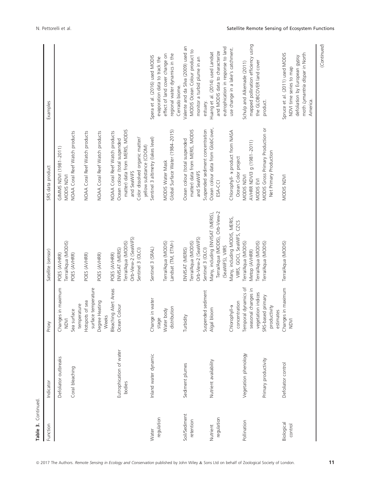| Function                   | Indicator                                    | Proxy                                                                                                               | Satellite (sensor)                                                                                                                                      | SRS data product                                                                                                                                    | Examples                                                                                                                                      |
|----------------------------|----------------------------------------------|---------------------------------------------------------------------------------------------------------------------|---------------------------------------------------------------------------------------------------------------------------------------------------------|-----------------------------------------------------------------------------------------------------------------------------------------------------|-----------------------------------------------------------------------------------------------------------------------------------------------|
|                            | Defoliator outbreaks                         | Changes in maximum<br><b>NDVI</b>                                                                                   | Terra/Aqua (MODIS)<br>POES (AVHRR)                                                                                                                      | GIMMS NDVI (1981-2011)<br>MODIS NDVI                                                                                                                |                                                                                                                                               |
|                            | Coral bleaching                              | Hotspots of sea<br>temperature<br>Sea surface                                                                       | POES (AVHRR)<br>POES (AVHRR)                                                                                                                            | NOAA Coral Reef Watch products<br>NOAA Coral Reef Watch products                                                                                    |                                                                                                                                               |
|                            |                                              | surface temperature<br>Degree Heating<br>Weeks                                                                      | POES (AVHRR)                                                                                                                                            | NOAA Coral Reef Watch products                                                                                                                      |                                                                                                                                               |
|                            | Eutrophication of water<br>bodies            | <b>Bleaching Alert Areas</b><br>Ocean Colour                                                                        | Orb-View-2 (SeaWiFS)<br>Terra/Aqua (MODIS)<br>ENVISAT (MERIS)<br>Sentinel 3 (OLCI)<br>POES (AVHRR)                                                      | matter) data from MERIS, MODIS<br>NOAA Coral Reef Watch products<br>Color dissolved organic matter/<br>Ocean colour (total suspended<br>and SeaWiFS |                                                                                                                                               |
| regulation<br>Water        | Inland water dynamic                         | Change in water<br>distribution<br>Water body<br>stage                                                              | Terra/Aqua (MODIS)<br>Landsat (TM, ETM+)<br>Sentinel 3 (SRAL)                                                                                           | Global Surface Water (1984-2015)<br>Sentinel 3 altimetry (lakes level)<br>yellow substance (CDOM)<br>MODIS Water Mask                               | regional water dynamics in the<br>effect of land cover change on<br>Spera et al. (2016) used MODIS<br>evaporation data to track the           |
| Soil/Sediment<br>retention | Sediment plumes                              | Suspended sediment<br>Turbidity                                                                                     | Orb-View-2 (SeaWiFS)<br>Terra/Aqua (MODIS)<br>Sentinel 3 (OLCI)<br>ENVISAT (MERIS)                                                                      | Suspended sediment concentration<br>matter) data from MERIS, MODIS<br>Ocean colour (total suspended<br>and SeaWiFS                                  | Valente and da Silva (2009) used an<br>MODIS Ocean Colour product to<br>monitor a turbid plume in an<br>Cerrado biome.<br>estuary.            |
| regulation<br>Nutrient     | Nutrient availability                        | concentration<br>Chlorophyll-a<br>Algal bloom                                                                       | Terra/Aqua (MODIS), Orb-View-2<br>Vlany, including ENVISAT (MERIS),<br>Vlany, including MODIS, MERIS,<br>VIIRS, GOCI, SeaWiFS, CZCS<br>(SeaWiFS), VIIRS | Ocean colour data from GlobCover,<br>Chlorophyll- a product from NASA<br>Ocean Color project<br>ESA-CCI                                             | eutrophication in response to land<br>use change in a lake's catchment.<br>and MODIS data to characterize<br>Huang et al. (2014) used Landsat |
| Pollination                | Vegetation phenology<br>Primary productivity | Temporal dynamics of<br>seasonal changes in<br>vegetation indices<br>SRS-based primary<br>productivity<br>estimates | Terra/Aqua (MODIS)<br>Terra/Aqua (MODIS)<br>Terra/Aqua (MODIS)<br>Metop (AVHRR)                                                                         | MODIS Gross Primary Production or<br>AVHRR NDVI3 g (1981-2011)<br>Net Primary Production<br>MODIS NDVI<br>MODIS EVI                                 | mapped pollination efficiency using<br>the GLOBCOVER land cover<br>Schulp and Alkemade (2011)<br>product.                                     |
| Biological<br>control      | Defoliator control                           | Changes in maximum<br><b>NDVI</b>                                                                                   | Terra/Aqua (MODIS)                                                                                                                                      | MODIS NDVI                                                                                                                                          | Spruce et al. (2011) used MODIS<br>moth Lymantria dispar in North<br>defoliation by European gypsy<br>NDVI time series to map<br>America.     |

Table 3. Continued.

Table 3. Continued.

(Continued)

(Continued)

<sup>©</sup> 2017 The Authors. Remote Sensing in Ecology and Conservation published by John Wiley & Sons Ltd on behalf of Zoological Society of London. 11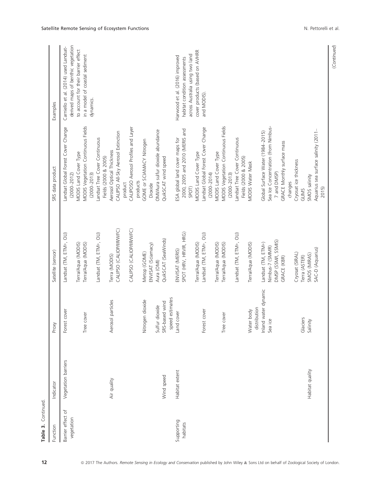| Table 3. Continued.             |                     |                                  |                          |                                                       |                                                                             |
|---------------------------------|---------------------|----------------------------------|--------------------------|-------------------------------------------------------|-----------------------------------------------------------------------------|
| Function                        | Indicator           | Proxy                            | Satellite (sensor)       | SRS data product                                      | Examples                                                                    |
| Barrier effect of<br>vegetation | Vegetation barriers | Forest cover                     | Landsat (TM, ETM+, OLI)  | Landsat Global Forest Cover Change<br>$(2000 - 2012)$ | derived maps of benthic vegetation<br>Carniello et al. (2014) used Landsat- |
|                                 |                     |                                  | Terra/Aqua (MODIS)       | MODIS Land Cover Type                                 | to account for their barrier effect                                         |
|                                 |                     | Tree cover                       | Terra/Aqua (MODIS)       | MODIS Vegetation Continuous Fields                    | in a model of coastal sediment                                              |
|                                 |                     |                                  | Landsat (TM, ETM+, OLI)  | Landsat Tree Cover Continuous<br>$(2000 - 2013)$      | dynamics.                                                                   |
|                                 |                     |                                  |                          | Fields (2000 & 2005)                                  |                                                                             |
|                                 | Air quality         | Aerosol particles                | Terra (MODIS)            | Aerosol Optical Thickness                             |                                                                             |
|                                 |                     |                                  | CALIPSO (CALIOP/IIR/WFC) | CALIPSO All-Sky Aerosol Extinction                    |                                                                             |
|                                 |                     |                                  |                          | product                                               |                                                                             |
|                                 |                     |                                  | CALIPSO (CALIOP/IIR/WFC) | CALIPOSO Aerosol Profiles and Layer                   |                                                                             |
|                                 |                     |                                  |                          | products                                              |                                                                             |
|                                 |                     | Nitrogen dioxide                 | Metop (GOME)             | GOME or SCIAMACY Nitrogen                             |                                                                             |
|                                 |                     |                                  | ENVISAT (Sciamacy)       | Dioxide                                               |                                                                             |
|                                 |                     |                                  | Aura (OMI)               | OMI/Aura sulfur dioxide abundance                     |                                                                             |
|                                 | Wind speed          | Sulfur dioxide<br>SRS-based wind | QuikSCAT (SeaWinds)      | QuikSCAT wind speed                                   |                                                                             |
|                                 |                     | speed estimates                  |                          |                                                       |                                                                             |
| Supporting                      | Habitat extent      | Land cover                       | ENVISAT (MERIS)          | ESA global land cover maps for                        | Harwood et al. (2016) improved                                              |
| habitats                        |                     |                                  | SPOT (HRV, HRVIR, HRG)   | 2000, 2005 and 2010 (MERIS and                        | habitat condition assessments                                               |
|                                 |                     |                                  |                          | SPOT)                                                 | across Australia using two land                                             |
|                                 |                     |                                  | Terra/Aqua (MODIS)       | MODIS Land Cover Type                                 | cover products (based on AVHRR                                              |
|                                 |                     | Forest cover                     | Landsat (TM, ETM+, OLI)  | Landsat Global Forest Cover Change                    | and MODIS).                                                                 |
|                                 |                     |                                  |                          | $(2000 - 2014)$                                       |                                                                             |
|                                 |                     |                                  | Terra/Aqua (MODIS)       | MODIS Land Cover Type                                 |                                                                             |
|                                 |                     | Tree cover                       | Terra/Aqua (MODIS)       | MODIS Vegetation Continuous Fields                    |                                                                             |
|                                 |                     |                                  |                          | $(2000 - 2013)$                                       |                                                                             |
|                                 |                     |                                  | Landsat (TM, ETM+, OLI)  | Landsat Tree Cover Continuous                         |                                                                             |
|                                 |                     |                                  |                          | Fields (2000 & 2005)                                  |                                                                             |
|                                 |                     | Water body                       | Terra/Aqua (MODIS)       | <b>MODIS Water Mask</b>                               |                                                                             |
|                                 |                     | distribution                     |                          |                                                       |                                                                             |
|                                 |                     | Inland water dynamic             | Landsat (TM, ETM+)       | Global Surface Water (1984-2015)                      |                                                                             |
|                                 |                     | Sea ice                          | Nimbus-7 (SMMR)          | Sea Ice Concentration (from Nimbus-                   |                                                                             |
|                                 |                     |                                  | DMSP (SSM/I, SSMIS)      | 7 and DMSP)                                           |                                                                             |
|                                 |                     |                                  | GRACE (KBR)              | GRACE Monthly surface mass                            |                                                                             |
|                                 |                     |                                  |                          | changes                                               |                                                                             |
|                                 |                     |                                  | Cryosat (SIRAL)          | Cryosat ice thickness                                 |                                                                             |
|                                 |                     | Glaciers                         | Terra (ASTER)            | GLIMS                                                 |                                                                             |
|                                 | Habitat quality     | Salinity                         | SMOS (MIRAS)             | SMOS salinity                                         |                                                                             |
|                                 |                     |                                  | SAC-D (Aquarius)         | Aquarius sea surface salinity (2011-                  |                                                                             |
|                                 |                     |                                  |                          | 2015)                                                 |                                                                             |
|                                 |                     |                                  |                          |                                                       |                                                                             |

(Continued) (Continued)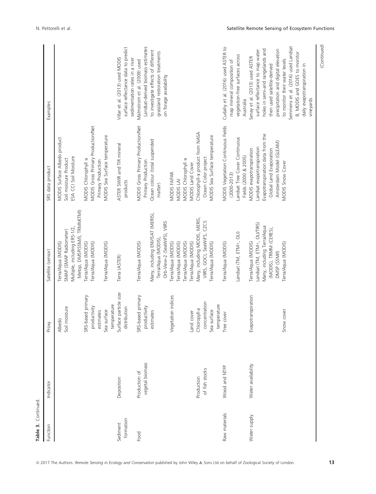| Function              | Indicator                        | Proxy                                                                            | Satellite (sensor)                                                                                                                                                                                                             | SRS data product                                                                                                                                                                        | Examples                                                                                                                                                                      |
|-----------------------|----------------------------------|----------------------------------------------------------------------------------|--------------------------------------------------------------------------------------------------------------------------------------------------------------------------------------------------------------------------------|-----------------------------------------------------------------------------------------------------------------------------------------------------------------------------------------|-------------------------------------------------------------------------------------------------------------------------------------------------------------------------------|
|                       |                                  | Albedo<br>Soil moisture                                                          | Metop, DMSP(SSM/I), TRMM(TMI)<br>Multiple, including ERS-1/2,<br>SMAP (SMAP Radiometer)<br>Terra/Aqua (MODIS)                                                                                                                  | MODIS Surface Albedo product<br>ESA CCI Soil Moisture<br>Soil moisture Product                                                                                                          |                                                                                                                                                                               |
|                       |                                  | SRS-based primary<br>productivity<br>estimates                                   | Terra/Aqua (MODIS)<br>Terra/Aqua (MODIS)                                                                                                                                                                                       | MODIS Gross Primary Production/Net<br>MODIS Chlorophyll a<br>Primary Production                                                                                                         |                                                                                                                                                                               |
| formation<br>Sediment | Deposition                       | temperature<br>Surface particle size<br>distribution<br>Sea surface              | Terra/Aqua (MODIS)<br>Terra (ASTER)                                                                                                                                                                                            | MODIS Sea Surface temperature<br>ASTER SWIR and TIR mineral<br>products                                                                                                                 | surface reflectance data to predict<br>Villar et al. (2013) used MODIS                                                                                                        |
| Food                  | vegetal biomass<br>Production of | SRS-based primary<br>productivity<br>estimates                                   | Vlany, including ENVISAT (MERIS),<br>Terra/Aqua (MODIS)                                                                                                                                                                        | MODIS Gross Primary Production/Net<br>Ocean colour (total suspended<br>Primary Production                                                                                               | Landsat-derived biomass estimates<br>to investigate effects of different<br>sedimentation rates in a river<br>Malmstrom et al. (2009) used                                    |
|                       | of fish stocks<br>Production     | Vegetation indices<br>Land cover<br>Chloropyll-a<br>concentration<br>Sea surface | Many, including MODIS, MERIS,<br>VIIRS, GOCI, SeaWiFS, CZCS<br>Orb-View-2 (SeaWiFS), VIIRS<br>Terra/Aqua (MODIS)<br>Terra/Aqua (MODIS)<br>Terra/Aqua (MODIS)<br>Terra/Aqua (MODIS)<br>Terra/Aqua (MODIS)<br>Terra/Aqua (MODIS) | Chlorophyll-a product from NASA<br>MODIS Sea Surface temperature<br>Ocean Color project<br>MODIS Chlorophyll a<br><b>MODIS Land Cover</b><br><b>MODIS FAPAR</b><br>MODIS LAI<br>matter) | grassland restoration treatments<br>on forage availability                                                                                                                    |
| Raw materials         | Wood and NTFP                    | temperature<br>Tree cover                                                        | Landsat (TM, ETM+, OLI)<br>Terra/Aqua (MODIS)                                                                                                                                                                                  | MODIS Vegetation Continuous Fields<br>Landsat Tree Cover Continuous<br>Fields (2000 & 2005)<br>$(2000 - 2013)$                                                                          | Cudahy et al. (2016) used ASTER to<br>vegetation-free surfaces across<br>map mineral composition of<br>Australia                                                              |
| Water supply          | Water availability               | Evapotranspiration                                                               | Landsat (TM, ETM+, OLI/TIRS)<br>Many, including Terra/Aqua<br>(MODIS), TRMM (CERES)<br>Terra/Aqua (MODIS)<br>DMSP (SSM/I)                                                                                                      | Evapotranspiration data from the<br>Amsterdam Model (GLEAM)<br>Landsat evapotranspiration<br>MODIS evapotranspiration<br>Global Land Evaporation                                        | holes in semi-arid rangelands and<br>precipitation and digital elevation<br>surface reflectance to map water<br>Senay et al. (2013) used ASTER<br>then used satellite-derived |
|                       |                                  | Snow cover                                                                       | Terra/Aqua (MODIS)                                                                                                                                                                                                             | MODIS Snow Cover                                                                                                                                                                        | Semmens et al. (2016) used Landsat<br>8, MODIS and GOES to monitor<br>to monitor their water levels<br>daily evapotranspiration in<br>vineyards                               |

Table 3. Continued.

Table 3. Continued.

(Continued)

(Continued)

<sup>©</sup> 2017 The Authors. Remote Sensing in Ecology and Conservation published by John Wiley & Sons Ltd on behalf of Zoological Society of London. 13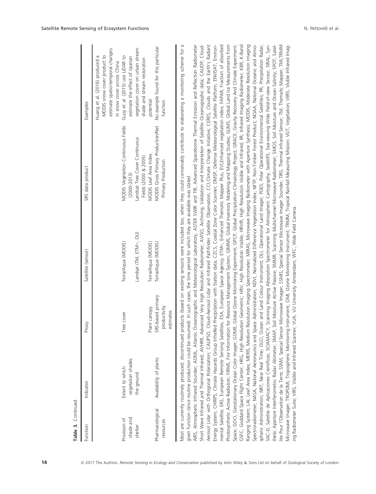| Function                             | Indicator                                                                                                                                                                                                                                                                                                                                                 | Proxy                                                          | Satellite (sensor)                                                                                                                                                                          | SRS data product                                                                                                                                                                                                                                                                                                                                                                                                                                                                                                                                                                                                                                                                                                                                                                                                                                                                                                                                                                                                                                                                                                                                                                                                                                                                                                                                                                                                                                                                                                                                                                                                                                                                                                                                                                                                                                                                                                                                                                                                                                                                                                                                                                                                                                                                                                                                                                                                                                                                                                                                                                                                                                                                                                                                                                                                                           | Examples                                                                                                                                                                                                                                                                  |
|--------------------------------------|-----------------------------------------------------------------------------------------------------------------------------------------------------------------------------------------------------------------------------------------------------------------------------------------------------------------------------------------------------------|----------------------------------------------------------------|---------------------------------------------------------------------------------------------------------------------------------------------------------------------------------------------|--------------------------------------------------------------------------------------------------------------------------------------------------------------------------------------------------------------------------------------------------------------------------------------------------------------------------------------------------------------------------------------------------------------------------------------------------------------------------------------------------------------------------------------------------------------------------------------------------------------------------------------------------------------------------------------------------------------------------------------------------------------------------------------------------------------------------------------------------------------------------------------------------------------------------------------------------------------------------------------------------------------------------------------------------------------------------------------------------------------------------------------------------------------------------------------------------------------------------------------------------------------------------------------------------------------------------------------------------------------------------------------------------------------------------------------------------------------------------------------------------------------------------------------------------------------------------------------------------------------------------------------------------------------------------------------------------------------------------------------------------------------------------------------------------------------------------------------------------------------------------------------------------------------------------------------------------------------------------------------------------------------------------------------------------------------------------------------------------------------------------------------------------------------------------------------------------------------------------------------------------------------------------------------------------------------------------------------------------------------------------------------------------------------------------------------------------------------------------------------------------------------------------------------------------------------------------------------------------------------------------------------------------------------------------------------------------------------------------------------------------------------------------------------------------------------------------------------------|---------------------------------------------------------------------------------------------------------------------------------------------------------------------------------------------------------------------------------------------------------------------------|
| shade and<br>Provision of<br>shelter | vegetation shades<br>Extent to which<br>the ground                                                                                                                                                                                                                                                                                                        | Tree cover                                                     | Landsat (TM, ETM+, OLI)<br>Terra/Aqua (MODIS)                                                                                                                                               | <b>MODIS Vegetation Continuous Fields</b><br>andsat Tree Cover Continuous<br>Fields (2000 & 2005)<br>$(2000 - 2013)$                                                                                                                                                                                                                                                                                                                                                                                                                                                                                                                                                                                                                                                                                                                                                                                                                                                                                                                                                                                                                                                                                                                                                                                                                                                                                                                                                                                                                                                                                                                                                                                                                                                                                                                                                                                                                                                                                                                                                                                                                                                                                                                                                                                                                                                                                                                                                                                                                                                                                                                                                                                                                                                                                                                       | vegetation cover on urban stream<br>estimate spatio-temporal changes<br>MODIS snow cover product to<br>Huang et al. (2016) produced a<br>Guzy et al. (2015) use LiDAR to<br>estimate the effect of riparian<br>shade and stream restoration<br>in snow cover across China |
| Pharmacological<br>resources         | Availability of plants                                                                                                                                                                                                                                                                                                                                    | SRS-based primary<br>productivity<br>Plant canopy<br>estimates | Terra/Aqua (MODIS)<br>Terra/Aqua (MODIS)                                                                                                                                                    | MODIS Gross Primary Production/Net<br>MODIS Leaf Area Index<br>Primary Production                                                                                                                                                                                                                                                                                                                                                                                                                                                                                                                                                                                                                                                                                                                                                                                                                                                                                                                                                                                                                                                                                                                                                                                                                                                                                                                                                                                                                                                                                                                                                                                                                                                                                                                                                                                                                                                                                                                                                                                                                                                                                                                                                                                                                                                                                                                                                                                                                                                                                                                                                                                                                                                                                                                                                          | No example found for this particular<br>potential<br>function                                                                                                                                                                                                             |
|                                      | Space; GOCI, Geostationary Ocean Color Imager; GOME,<br>SAC-D, Satelite de Aplicaciones Cientificas; SCIAMACY,<br>lite Pour l'Observation de la Terre; SSM/l, Special Sensor<br>Ranging System; LAI, Leaf Area Index; MERIS, Medium F<br>Microwave Imager; TROPOMI, Tropospheric Monitoring I<br>ng Radiometer Suite; VIRS, Visible and Infrared Scanner; |                                                                | given function (since routine production could be resumed). In such cases, the time period for which they are available was stated.<br>VUA, VU University Amsterdam; WFC, Wde Field Camera. | Most are currently routinely produced; discontinued products (based on existing sensors) were included too, when they could conceivably contribute to elaborating a monitoring scheme for a<br>Aerosol Lidar with Orthogonal Polarization; CALIPSO, Cloud-Aerosol Lidar and Infrared Pathfinder Satellite Observation; CCI,Climate Change Initiative; CERES, Clouds and the Earth's Radiant<br>mental Satellite; ERS, European Remote Sensing Satellites; ESA, European Space Agency; ETM+, Enhanced Thematic Mapper Plus; EVI,Enhanced vegetation index; FAPAR, Fraction of absorbed<br>Photosynthetic Active Radiation; FIRMS, Fire Information for Resource Management System; GIMMS, Global Inventory Modeling and Mapping Studies; GLIMS, Global Land Ice Measurements from<br>Resolution Imaging Spectrometer; MIRAS, Microwave Imaging Radiometer with Aperture Synthesis; MODIS, Moderate Resolution Imaging<br>Spectroradiometer; NASA, National Aeronautics and Space Administration; NDVI, Normalized Difference Vegetation Index; NFTP, Non-Timber Forest Product; NOAA, National Oceanic and Atmo-<br>Scanning Imaging Absorption Spectrometer for Atmospheric Cartography; SeaWIFS, Sea-viewing Wide Field-of-view Sensor; SIRAL, Syn-<br>thetic Aperture Interferometric Radar Altimeter; SMAP, Soil Moisture Active Passive; SMMR, Scanning Multichannel Microwave Radiometer; SMOS, Soil Moisture and Ocean Salinity; SPOT, Satel-<br>Short Wave Infrared and Thermal Infrared: AVHRR, Advanced Very High Resolution Radiometer; AVISO, Arichiving, Validation and Interpretation of Satellite Oceanographic data; CALIOP, Cloud-<br>Energy System; CHIRPS, Climate Hazards Group InfraRed Precipitation with Station data; CZCS, Coastal Zone Color Scanner; DMSP, Defense Meteorological Satellite Platform; ENVISAT, Environ-<br>GSFC, Goddard Space Flight Center; HRG, High Resolution Geometric; HRV, High Resolution Visible Polution Visible and Infrared; IIR, Infrared Imaging Radiometer; KBR, K-Band<br>spheric Administration; NRT, Near Real Time; OLCI, Ocean and Land Colour Instrument; OLI, Operational Land Imager; POES, Polar Operational Environmental Satellites; PR, Precipitation Radar;<br>AIRS, Atmospheric Infrared Sounder; AOML, Atlantic Oceanographic and Meteorological Laboratory, ASTER SWIR and TIR, Advanced Spaceborne Thermal Emission and Reflection Radiometer<br>Global Ozone Monitoring Experiment; GPCP, Global Precipitation Climatology Project; GRACE, Gravity Recovery And Climate Experiment;<br>Microwave Imager; SSMIS, Special Sensor Microwave Imager Sounder; TIRS, Thermal Infrared Sensor; TM, Thematic Mapper; TMI,TRMM<br>nstrument; OMI, Ozone Monitoring Instrument; TRNM, Tropical Rainfall Measuring Mission; VGT, Vegetation; VIRS, Visible Infrared Imag- |                                                                                                                                                                                                                                                                           |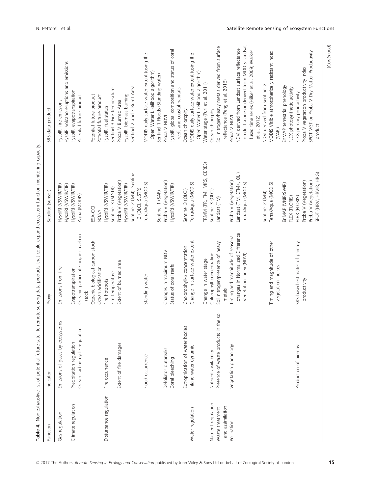|                        | Table 4. Non-exhaustive list of potential future satellite | remote sensing data products that could expand ecosystem function monitoring capacity |                                               |                                                                   |
|------------------------|------------------------------------------------------------|---------------------------------------------------------------------------------------|-----------------------------------------------|-------------------------------------------------------------------|
| Function               | Indicator                                                  | Proxy                                                                                 | Satellite (sensor)                            | SRS data product                                                  |
| Gas regulation         | Emissions of gases by ecosystems                           | Emissions from fire                                                                   | HyspIRI (VSWIR/TIR)<br>HyspIRI (VSWIR/TIR)    | HyspIRI volcano eruptions and emissions<br>HyspIRI fire emissions |
| Climate regulation     | Ocean carbon cycle regulation<br>Precipitation regulation  | Oceanic particulate organic carbon<br>Evapotranspiration<br>stock                     | HyspIRI (VSWIR/TIR)<br>Aqua (MODIS)           | HyspIRI evapotranspiration<br>Potential future product            |
|                        |                                                            | Oceanic biological carbon stock                                                       | ESA-CCI                                       | Potential future product                                          |
| Disturbance regulation | Fire occurrence                                            | Ocean acidification<br>Fire hotspots                                                  | HyspIRI (VSWIR/TIR)<br><b>NOAA</b>            | Potential future product<br>HyspIRI fuel status                   |
|                        |                                                            | Fire temperature                                                                      | Sentinel 3 (SLSTR)                            | Sentinel 3 Fire temperature                                       |
|                        | Extent of fire damages                                     | Extent of burned area                                                                 | Proba V (Vegetation)                          | Proba V Burned Area                                               |
|                        |                                                            |                                                                                       | HyspIRI (VSWIR/TIR)                           | HyspIRI biomass burning                                           |
|                        |                                                            |                                                                                       | Sentinel 2 (MSI), Sentinel<br>3 (OLCI, SLSTR) | Sentinel 2 and 3 Burnt Area                                       |
|                        | Flood occurrence                                           | Standing water                                                                        | Terra/Aqua (MODIS)                            | MODIS daily surface water extent (using the                       |
|                        |                                                            |                                                                                       |                                               | Open Water Likelihood algorithm)                                  |
|                        |                                                            |                                                                                       | Sentinel 1 (SAR)                              | Sentinel 1 Floods (Standing water)                                |
|                        | Defoliator outbreaks                                       | Changes in maximum NDVI                                                               | Proba V (Vegetation)                          | Proba V NDVI                                                      |
|                        | Coral bleaching                                            | Status of coral reefs                                                                 | HyspIRI (VSWIR/TIR)                           | HyspIRI global composition and status of coral                    |
|                        |                                                            |                                                                                       |                                               | reefs and coastal habitats                                        |
|                        | Eutrophication of water bodies                             | Cholorophyll-a concentration                                                          | Sentinel 3 (OLCI)                             | Ocean chlorophyll                                                 |
| Water regulation       | Inland water dynamic                                       | Change in surface water extent                                                        | Terra/Aqua (MODIS)                            | MODIS daily surface water extent (using the                       |
|                        |                                                            |                                                                                       |                                               | Open Water Likelihood algorithm)                                  |
|                        |                                                            | Change in water stage                                                                 | TRMM (PR, TMI, VIRS, CERES)                   | Water stage (Puri et al. 2011)                                    |
| Nutrient regulation    | Nutrient availability                                      | Chlorophyll concentration                                                             | Sentinel 3 (OLCI)                             | Ocean chlorophyll                                                 |
| Waste treatment        | the soil<br>Presence of waste products in                  | Soil nitrogen/presence of heavy                                                       | Landsat (TM)                                  | Soil nitrogen/heavy metals derived from surface                   |
| and assimilation       |                                                            | metals                                                                                |                                               | reflectance (Peng et al. 2016)                                    |
| Pollination            | Vegetation phenology                                       | Timing and magnitude of seasonal                                                      | Proba V (Vegetation)                          | Proba V NDVI                                                      |
|                        |                                                            | changes in Normalized Difference                                                      | Landsat (TM, ETM+, OLI)                       | NDVI derived from Landsat surface reflectance                     |
|                        |                                                            | Vegetation Index (NDVI)                                                               | Terra/Aqua (MODIS)                            | product alone or derived from MODIS-Landsat                       |
|                        |                                                            |                                                                                       |                                               | fused time series (Hilker et al. 2009; Walker                     |
|                        |                                                            |                                                                                       |                                               | et al. 2012)                                                      |
|                        |                                                            |                                                                                       | Sentinel 2 (MSI)                              | NDVI derived from Sentinel 2                                      |
|                        |                                                            | Timing and magnitude of other                                                         | Terra/Aqua (MODIS)                            | MODIS Visible atmospherically resistant index                     |
|                        |                                                            | vegetation indices                                                                    |                                               | (VARI)                                                            |
|                        |                                                            |                                                                                       | EnMAP (VNIR/SWIR)                             | EnMAP terrestrial phenology                                       |
|                        |                                                            |                                                                                       | FLEX (FLORIS)                                 | FLEX photosynthetic activity                                      |
|                        | Production of biomass                                      | SRS-based estimates of primary                                                        | FLEX (FLORIS)                                 | FLEX primary productivity                                         |
|                        |                                                            | productivity                                                                          | Proba V (Vegetation)                          | Proba V vegetation productivity index                             |
|                        |                                                            |                                                                                       | Proba V (Vegetation)                          | SPOT VGT or Proba V Dry Matter Productivity                       |
|                        |                                                            |                                                                                       | SPOT (HRV, HRVIR, HRG)                        | product                                                           |

 $\mathbf{L}$ 

(Continued)

(Continued)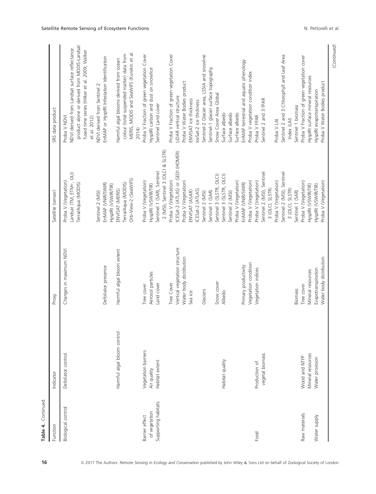| Function                                               | Indicator                                             | Proxy                                                                                         | Satellite (sensor)                                                                                                                                             | SRS data product                                                                                                                                                                                                                                  |
|--------------------------------------------------------|-------------------------------------------------------|-----------------------------------------------------------------------------------------------|----------------------------------------------------------------------------------------------------------------------------------------------------------------|---------------------------------------------------------------------------------------------------------------------------------------------------------------------------------------------------------------------------------------------------|
| Biological control                                     | Defoliator control                                    | Changes in maximum NDVI                                                                       | $\overline{O}(1)$<br>Proba V (Vegetation)<br>Landsat (TM, ETM+,<br>Terra/Aqua (MODIS)                                                                          | product alone or derived from MODIS-Landsat<br>NDVI derived from Landsat surface reflectance<br>fused time series (Hilker et al. 2009; Walker<br>Proba V NDVI<br>et al. 2012)                                                                     |
|                                                        |                                                       | Defoliator presence                                                                           | EnMAP (VNIR/SWIR)<br>HyspIRI (VSWIR/TIR)<br>Sentinel 2 (MSI)                                                                                                   | EnMAP or HysplRI Infestation Identification<br>NDVI derived from Sentinel 2                                                                                                                                                                       |
|                                                        | Harmful algal bloom control                           | Harmful algal bloom extent                                                                    | Orb-View-2 (SeaWiFS)<br>Terra/Aqua (MODIS)<br>ENVISAT (MERIS)                                                                                                  | MERIS, MODIS and SeaWiFS (Kurekin et al.<br>colour (total suspended matter) data from<br>Harmful algal blooms derived from ocean<br>2014)                                                                                                         |
| Supporting habitats<br>of vegetation<br>Barrier effect | Vegetation barriers<br>Habitat extent<br>Air quality  | Aerosol particles<br>Land cover<br>Tree cover                                                 | 2 (MSI), Sentinel 3 (OLCI & SLSTR)<br>Sentinel 1 (SAR), Sentinel<br>Proba V (Vegetation)<br>HyspIRI (VSWIR/TIR)                                                | Proba V Fraction of green vegetation Cover<br>HyspIRI carbon and dust on snow/ice<br>Sentinel Land cover                                                                                                                                          |
|                                                        |                                                       | Vertical vegetation structure<br>Water body distribution<br>Tree Cover<br>Glaciers<br>Sea ice | ICESat-2 (ATLAS) or GEDI (HOMER)<br>Proba V (Vegetation)<br>Proba V (Vegetation)<br>ICESat-2 (ATLAS)<br>ENVISAT (ASAR)<br>Sentinel 1 (SAR)<br>Sentinel 2 (MSI) | Proba V Fraction of green vegetation Cover<br>Sentinel-2 Glacier area, LSSIA and snowline<br>Sentinel-1 glacier surface topography<br>Proba V Water Bodies product<br>LiDAR vertical structure<br>ENVISAT ice thickness<br>lceSat-2 ice thickness |
|                                                        | Habitat quality                                       | Primary productivity<br>Snow cover<br>Albedo                                                  | OLCI)<br>OLCI)<br>Proba V (Vegetation)<br>Proba V (Vegetation)<br>EnMAP (VNIR/SWIR)<br>Sentinel 3 (SLSTR,<br>Sentinel 3 (SLSTR,<br>Sentinel 2 (MSI)            | EnMAP terrestrial and aquatic phenology<br>Proba V vegetation condition index<br>Snow Cover Area Global<br>Surface albedo<br>Surface albedo<br>Surface albedo                                                                                     |
| Food                                                   | vegetal biomass<br>Production of                      | Vegetation condition<br>Vegetation indices                                                    | Sentinel 2 (MSI), Sentinel<br>Sentinel 2 (MSI), Sentinel<br>Proba V (Vegetation)<br>Proba V (Vegetation)<br>3 (OLCI, SLSTR)<br>3 (OLCI, SLSTR)                 | Sentinel 2 and 3 Chlorophyll and Leaf Area<br>Sentinel 2 and 3 fPAR<br>Proba V FPAR<br>Index (LAI)<br>Proba V LAI                                                                                                                                 |
| Raw materials<br>Water supply                          | Mineral resources<br>Wood and NTFP<br>Water provision | Water body distribution<br>Evapotranspiration<br>Mineral resources<br>Tree cover<br>Biomass   | Proba V (Vegetation)<br>Proba V (Vegetation)<br>HyspIRI (VSWIR/TIR)<br>HyspIRI (VSWIR/TIR)<br>Sentinel 1 (SAR)                                                 | Proba V Fraction of green vegetation cover<br>HyspIRI surface mineral resources<br>Proba V Water Bodies product<br>HyspIRI evapotranspiration<br>Sentinel 1 biomass                                                                               |

Table 4. Continued.

Table 4. Continued.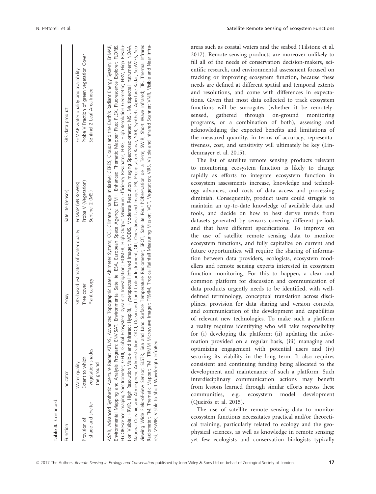| unction                           | Indicator                                                           | Proxy                                                                                | Satellite (sensor)                       | SRS data product                                                                                                                                                                                                                                                                                                                                                                                                                                                                                                                                                                                                                                                                                                                                                                                                                                                                                                                                                                                                                                                                                   |
|-----------------------------------|---------------------------------------------------------------------|--------------------------------------------------------------------------------------|------------------------------------------|----------------------------------------------------------------------------------------------------------------------------------------------------------------------------------------------------------------------------------------------------------------------------------------------------------------------------------------------------------------------------------------------------------------------------------------------------------------------------------------------------------------------------------------------------------------------------------------------------------------------------------------------------------------------------------------------------------------------------------------------------------------------------------------------------------------------------------------------------------------------------------------------------------------------------------------------------------------------------------------------------------------------------------------------------------------------------------------------------|
| shade and shelter<br>Provision of | vegetation shades<br>Extent to which<br>Water quality<br>the ground | SRS-based estimates of water quality EnMAP (VNIR/SWIR)<br>Plant canopy<br>Tree cover | Proba V (Vegetation)<br>Sentinel 2 (MSI) | Proba V Fraction of green vegetation Cover<br>EnMAP water quality and availability<br>Sentinel 2 Leaf Area Index                                                                                                                                                                                                                                                                                                                                                                                                                                                                                                                                                                                                                                                                                                                                                                                                                                                                                                                                                                                   |
|                                   | National Oceanic and Atmospheric Administration; OLCI,              |                                                                                      |                                          | viewing Wide Field-of-view Sensor; SLSTR, Sea and Land Surface Temperature Radiometer; SPOT, Satellite Pour l'Observation de la Terre; SWIR, Short Wave Infrared; TIR, Thermal Infrared<br>ASAR, Advanced Synthetic Aperture Radar; ATL/AS, Advanced Topographic Laser Altimeter System; CCI, Climate Change Initiative; CERES, Clouds and the Earth's Radiant Energy System; EnMAP,<br>Ocean and Land Colour Instrument; OLI, Operational Land Imager; PR, Precipitation Radar; SAR, Synthetic Aperture Radar; SeaWiFS, Sea-<br>FLuORescence Imaging Spectrometer; GEDI, Global Ecosystem Dynamics Investigation; HoMER, High Output Maximum Efficiency Resonator; HRG, High Resolution Geometric; HRV, High Resolu-<br>Environmental Mapping and Analysis Program; ENVISAT, Environmental Satellite; ESA, European Space Agency; ETM+, Enhanced Thematic Mapper Plus; FLEX, Fluorescence Explorer; FLORIS,<br>tion Visible; HRVIR, High Resolution Visible and Infrared; HysplRl, HysplRl, HysplRl, HysplRl, Moderate Resolution Imaging Spectroradiometer; M3I, Multispectral Instrument; NOAA, |

viewing Wide Field-of-view Sensor; SLSTR, Sea and Land Surface Temperature Radiometer; SPOT, Satellite Pour l'Observation de la Terre; SWIR, Short Wave Infrared; TIR, Thermal Infrared Radiometer; TM, Thematic Mapper; TMI, TRMM Microwave Imager; TRMM, Tropical Rainfall Measuring Mission; VGT, Vegetation; VIRS, Visible and Infrared Scanner; VNIR, Visible and Near Infra-Radiometer; TM, Thematic Mapper; TMI, TRMM Microwave Imager; TRMM, Tropical Rainfall Measuring Mission; VGT, Vegetation; VIRS, Visible and Infrared Scanner; VNIR, Visible and Near Infraed; VSWIR, Visible to Short Wavelength InfraRed. red; VSWIR, Visible to Short Wavelength InfraRed. areas such as coastal waters and the seabed (Tilstone et al. 2017). Remote sensing products are moreover unlikely to fill all of the needs of conservation decision-makers, scientific research, and environmental assessment focused on tracking or improving ecosystem function, because these needs are defined at different spatial and temporal extents and resolutions, and come with differences in expectations. Given that most data collected to track ecosystem functions will be surrogates (whether it be remotelysensed, gathered through on-ground monitoring programs, or a combination of both), assessing and acknowledging the expected benefits and limitations of the measured quantity, in terms of accuracy, representativeness, cost, and sensitivity will ultimately be key (Lindenmayer et al. 2015).

The list of satellite remote sensing products relevant to monitoring ecosystem function is likely to change rapidly as efforts to integrate ecosystem function in ecosystem assessments increase, knowledge and technology advances, and costs of data access and processing diminish. Consequently, product users could struggle to maintain an up-to-date knowledge of available data and tools, and decide on how to best derive trends from datasets generated by sensors covering different periods and that have different specifications. To improve on the use of satellite remote sensing data to monitor ecosystem functions, and fully capitalize on current and future opportunities, will require the sharing of information between data providers, ecologists, ecosystem modellers and remote sensing experts interested in ecosystem function monitoring. For this to happen, a clear and common platform for discussion and communication of data products urgently needs to be identified, with welldefined terminology, conceptual translation across disciplines, provision for data sharing and version controls, and communication of the development and capabilities of relevant new technologies. To make such a platform a reality requires identifying who will take responsibility for (i) developing the platform; (ii) updating the information provided on a regular basis, (iii) managing and optimizing engagement with potential users and (iv) securing its viability in the long term. It also requires consistent and continuing funding being allocated to the development and maintenance of such a platform. Such interdisciplinary communication actions may benefit from lessons learned through similar efforts across these communities, e.g. ecosystem model development (Queirós et al. 2015).

The use of satellite remote sensing data to monitor ecosystem functions necessitates practical and/or theoretical training, particularly related to ecology and the geophysical sciences, as well as knowledge in remote sensing; yet few ecologists and conservation biologists typically

Table 4. Continued.

Continued.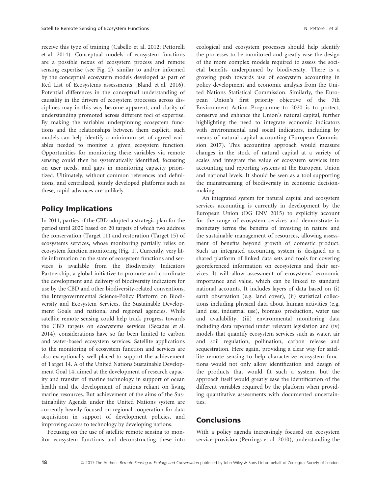receive this type of training (Cabello et al. 2012; Pettorelli et al. 2014). Conceptual models of ecosystem functions are a possible nexus of ecosystem process and remote sensing expertise (see Fig. 2), similar to and/or informed by the conceptual ecosystem models developed as part of Red List of Ecosystems assessments (Bland et al. 2016). Potential differences in the conceptual understanding of causality in the drivers of ecosystem processes across disciplines may in this way become apparent, and clarity of understanding promoted across different foci of expertise. By making the variables underpinning ecosystem functions and the relationships between them explicit, such models can help identify a minimum set of agreed variables needed to monitor a given ecosystem function. Opportunities for monitoring these variables via remote sensing could then be systematically identified, focussing on user needs, and gaps in monitoring capacity prioritized. Ultimately, without common references and definitions, and centralized, jointly developed platforms such as these, rapid advances are unlikely.

# Policy Implications

In 2011, parties of the CBD adopted a strategic plan for the period until 2020 based on 20 targets of which two address the conservation (Target 11) and restoration (Target 15) of ecosystems services, whose monitoring partially relies on ecosystem function monitoring (Fig. 1). Currently, very little information on the state of ecosystem functions and services is available from the Biodiversity Indicators Partnership, a global initiative to promote and coordinate the development and delivery of biodiversity indicators for use by the CBD and other biodiversity-related conventions, the Intergovernmental Science-Policy Platform on Biodiversity and Ecosystem Services, the Sustainable Development Goals and national and regional agencies. While satellite remote sensing could help track progress towards the CBD targets on ecosystems services (Secades et al. 2014), considerations have so far been limited to carbon and water-based ecosystem services. Satellite applications to the monitoring of ecosystem function and services are also exceptionally well placed to support the achievement of Target 14. A of the United Nations Sustainable Development Goal 14, aimed at the development of research capacity and transfer of marine technology in support of ocean health and the development of nations reliant on living marine resources. But achievement of the aims of the Sustainability Agenda under the United Nations system are currently heavily focused on regional cooperation for data acquisition in support of development policies, and improving access to technology by developing nations.

Focusing on the use of satellite remote sensing to monitor ecosystem functions and deconstructing these into ecological and ecosystem processes should help identify the processes to be monitored and greatly ease the design of the more complex models required to assess the societal benefits underpinned by biodiversity. There is a growing push towards use of ecosystem accounting in policy development and economic analysis from the United Nations Statistical Commission. Similarly, the European Union's first priority objective of the 7th Environment Action Programme to 2020 is to protect, conserve and enhance the Union's natural capital, further highlighting the need to integrate economic indicators with environmental and social indicators, including by means of natural capital accounting (European Commission 2017). This accounting approach would measure changes in the stock of natural capital at a variety of scales and integrate the value of ecosystem services into accounting and reporting systems at the European Union and national levels. It should be seen as a tool supporting the mainstreaming of biodiversity in economic decisionmaking.

An integrated system for natural capital and ecosystem services accounting is currently in development by the European Union (DG ENV 2015) to explicitly account for the range of ecosystem services and demonstrate in monetary terms the benefits of investing in nature and the sustainable management of resources, allowing assessment of benefits beyond growth of domestic product. Such an integrated accounting system is designed as a shared platform of linked data sets and tools for covering georeferenced information on ecosystems and their services. It will allow assessment of ecosystems' economic importance and value, which can be linked to standard national accounts. It includes layers of data based on (i) earth observation (e.g. land cover), (ii) statistical collections including physical data about human activities (e.g. land use, industrial use), biomass production, water use and availability, (iii) environmental monitoring data including data reported under relevant legislation and (iv) models that quantify ecosystem services such as water, air and soil regulation, pollination, carbon release and sequestration. Here again, providing a clear way for satellite remote sensing to help characterize ecosystem functions would not only allow identification and design of the products that would fit such a system, but the approach itself would greatly ease the identification of the different variables required by the platform when providing quantitative assessments with documented uncertainties.

# Conclusions

With a policy agenda increasingly focused on ecosystem service provision (Perrings et al. 2010), understanding the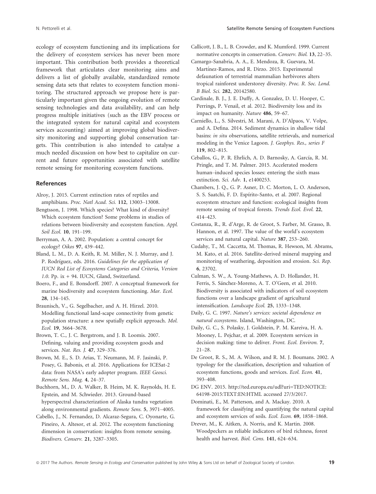ecology of ecosystem functioning and its implications for the delivery of ecosystem services has never been more important. This contribution both provides a theoretical framework that articulates clear monitoring aims and delivers a list of globally available, standardized remote sensing data sets that relates to ecosystem function monitoring. The structured approach we propose here is particularly important given the ongoing evolution of remote sensing technologies and data availability, and can help progress multiple initiatives (such as the EBV process or the integrated system for natural capital and ecosystem services accounting) aimed at improving global biodiversity monitoring and supporting global conservation targets. This contribution is also intended to catalyse a much needed discussion on how best to capitalize on current and future opportunities associated with satellite remote sensing for monitoring ecosystem functions.

#### References

Alroy, J. 2015. Current extinction rates of reptiles and amphibians. Proc. Natl Acad. Sci. 112, 13003–13008.

Bengtsson, J. 1998. Which species? What kind of diversity? Which ecosystem function? Some problems in studies of relations between biodiversity and ecosystem function. Appl. Soil Ecol. 10, 191–199.

Berryman, A. A. 2002. Population: a central concept for ecology? Oikos 97, 439–442.

Bland, L. M., D. A. Keith, R. M. Miller, N. J. Murray, and J. P. Rodríguez, eds. 2016. *Guidelines for the application of* IUCN Red List of Ecosystems Categories and Criteria, Version 1.0. Pp. ix + 94. IUCN, Gland, Switzerland.

Boero, F., and E. Bonsdorff. 2007. A conceptual framework for marine biodiversity and ecosystem functioning. Mar. Ecol. 28, 134–145.

Braunisch, V., G. Segelbacher, and A. H. Hirzel. 2010. Modelling functional land-scape connectivity from genetic population structure: a new spatially explicit approach. Mol. Ecol. 19, 3664–3678.

Brown, T. C., J. C. Bergstrom, and J. B. Loomis. 2007. Defining, valuing and providing ecosystem goods and services. Nat. Res. J. 47, 329–376.

Brown, M. E., S. D. Arias, T. Neumann, M. F. Jasinski, P. Posey, G. Babonis, et al. 2016. Applications for ICESat-2 data: from NASA's early adopter program. IEEE Geosci. Remote Sens. Mag. 4, 24–37.

Buchhorn, M., D. A. Walker, B. Heim, M. K. Raynolds, H. E. Epstein, and M. Schwieder. 2013. Ground-based hyperspectral characterization of Alaska tundra vegetation along environmental gradients. Remote Sens. 5, 3971–4005.

Cabello, J., N. Fernandez, D. Alcaraz-Segura, C. Oyonarte, G. Pineiro, A. Altesor, et al. 2012. The ecosystem functioning dimension in conservation: insights from remote sensing. Biodivers. Conserv. 21, 3287–3305.

Callicott, J. B., L. B. Crowder, and K. Mumford. 1999. Current normative concepts in conservation. Conserv. Biol. 13, 22–35.

Camargo-Sanabria, A. A., E. Mendoza, R. Guevara, M. Martínez-Ramos, and R. Dirzo. 2015. Experimental defaunation of terrestrial mammalian herbivores alters tropical rainforest understorey diversity. Proc. R. Soc. Lond. B Biol. Sci. 282, 20142580.

Cardinale, B. J., J. E. Duffy, A. Gonzalez, D. U. Hooper, C. Perrings, P. Venail, et al. 2012. Biodiversity loss and its impact on humanity. Nature 486, 59–67.

Carniello, L., S. Silvestri, M. Marani, A. D'Alpaos, V. Volpe, and A. Defina. 2014. Sediment dynamics in shallow tidal basins: in situ observations, satellite retrievals, and numerical modeling in the Venice Lagoon. J. Geophys. Res., series F 119, 802–815.

Ceballos, G., P. R. Ehrlich, A. D. Barnosky, A. García, R. M. Pringle, and T. M. Palmer. 2015. Accelerated modern human–induced species losses: entering the sixth mass extinction. Sci. Adv. 1, e1400253.

Chambers, J. Q., G. P. Asner, D. C. Morton, L. O. Anderson, S. S. Saatchi, F. D. Espírito-Santo, et al. 2007. Regional ecosystem structure and function: ecological insights from remote sensing of tropical forests. Trends Ecol. Evol. 22, 414–423.

Costanza, R., R. d'Arge, R. de Groot, S. Farber, M. Grasso, B. Hannon, et al. 1997. The value of the world's ecosystem services and natural capital. Nature 387, 253–260.

Cudahy, T., M. Caccetta, M. Thomas, R. Hewson, M. Abrams, M. Kato, et al. 2016. Satellite-derived mineral mapping and monitoring of weathering, deposition and erosion. Sci. Rep. 6, 23702.

Culman, S. W., A. Young-Mathews, A. D. Hollander, H. Ferris, S. Sánchez-Moreno, A. T. O'Geen, et al. 2010. Biodiversity is associated with indicators of soil ecosystem functions over a landscape gradient of agricultural intensification. Landscape Ecol. 25, 1333–1348.

Daily, G. C. 1997. Nature's services: societal dependence on natural ecosystems. Island, Washington, DC.

Daily, G. C., S. Polasky, J. Goldstein, P. M. Kareiva, H. A. Mooney, L. Pejchar, et al. 2009. Ecosystem services in decision making: time to deliver. Front. Ecol. Environ. 7, 21–28.

De Groot, R. S., M. A. Wilson, and R. M. J. Boumans. 2002. A typology for the classification, description and valuation of ecosystem functions, goods and services. Ecol. Econ. 41, 393–408.

DG ENV. 2015. [http://ted.europa.eu/udl?uri=TED:NOTICE:](http://ted.europa.eu/udl?uri=TED:NOTICE:64198-2015:TEXT:EN:HTML) [64198-2015:TEXT:EN:HTML](http://ted.europa.eu/udl?uri=TED:NOTICE:64198-2015:TEXT:EN:HTML) accessed 27/3/2017.

Dominati, E., M. Patterson, and A. Mackay. 2010. A framework for classifying and quantifying the natural capital and ecosystem services of soils. Ecol. Econ. 69, 1858–1868.

Drever, M., K. Aitken, A. Norris, and K. Martin. 2008. Woodpeckers as reliable indicators of bird richness, forest health and harvest. Biol. Cons. 141, 624–634.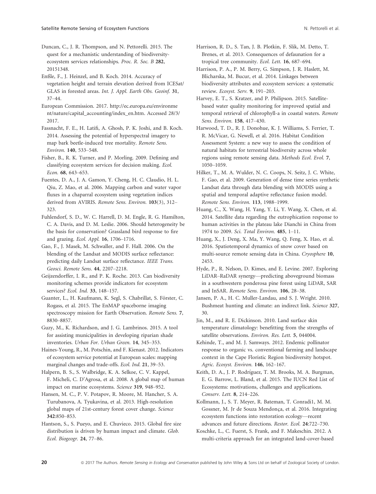Duncan, C., J. R. Thompson, and N. Pettorelli. 2015. The quest for a mechanistic understanding of biodiversityecosystem services relationships. Proc. R. Soc. B 282, 20151348.

Enßle, F., J. Heinzel, and B. Koch. 2014. Accuracy of vegetation height and terrain elevation derived from ICESat/ GLAS in forested areas. Int. J. Appl. Earth Obs. Geoinf. 31, 37–44.

European Commission. 2017. [http://ec.europa.eu/environme](http://ec.europa.eu/environment/nature/capital_accounting/index_en.htm) [nt/nature/capital\\_accounting/index\\_en.htm](http://ec.europa.eu/environment/nature/capital_accounting/index_en.htm). Accessed 28/3/ 2017.

Fassnacht, F. E., H. Latifi, A. Ghosh, P. K. Joshi, and B. Koch. 2014. Assessing the potential of hyperspectral imagery to map bark beetle-induced tree mortality. Remote Sens. Environ. 140, 533–548.

Fisher, B., R. K. Turner, and P. Morling. 2009. Defining and classifying ecosystem services for decision making. Ecol. Econ. 68, 643–653.

Fuentes, D. A., J. A. Gamon, Y. Cheng, H. C. Claudio, H. L. Qiu, Z. Mao, et al. 2006. Mapping carbon and water vapor fluxes in a chaparral ecosystem using vegetation indices derived from AVIRIS. Remote Sens. Environ. 103(3), 312– 323.

Fuhlendorf, S. D., W. C. Harrell, D. M. Engle, R. G. Hamilton, C. A. Davis, and D. M. Leslie. 2006. Should heterogeneity be the basis for conservation? Grassland bird response to fire and grazing. Ecol. Appl. 16, 1706–1716.

Gao, F., J. Masek, M. Schwaller, and F. Hall. 2006. On the blending of the Landsat and MODIS surface reflectance: predicting daily Landsat surface reflectance. IEEE Trans. Geosci. Remote Sens. 44, 2207–2218.

Geijzendorffer, I. R., and P. K. Roche. 2013. Can biodiversity monitoring schemes provide indicators for ecosystem services? Ecol. Ind. 33, 148–157.

Guanter, L., H. Kaufmann, K. Segl, S. Chabrillat, S. Förster, C. Rogass, et al. 2015. The EnMAP spaceborne imaging spectroscopy mission for Earth Observation. Remote Sens. 7, 8830–8857.

Guzy, M., K. Richardson, and J. G. Lambrinos. 2015. A tool for assisting municipalities in developing riparian shade inventories. Urban For. Urban Green. 14, 345–353.

Haines-Young, R., M. Potschin, and F. Kienast. 2012. Indicators of ecosystem service potential at European scales: mapping marginal changes and trade-offs. Ecol. Ind. 21, 39–53.

Halpern, B. S., S. Walbridge, K. A. Selkoe, C. V. Kappel, F. Micheli, C. D'Agrosa, et al. 2008. A global map of human impact on marine ecosystems. Science 319, 948–952.

Hansen, M. C., P. V. Potapov, R. Moore, M. Hancher, S. A. Turubanova, A. Tyukavina, et al. 2013. High-resolution global maps of 21st-century forest cover change. Science 342:850–853.

Hantson, S., S. Pueyo, and E. Chuvieco. 2015. Global fire size distribution is driven by human impact and climate. Glob. Ecol. Biogeogr. 24, 77–86.

Harrison, R. D., S. Tan, J. B. Plotkin, F. Slik, M. Detto, T. Brenes, et al. 2013. Consequences of defaunation for a tropical tree community. Ecol. Lett. 16, 687–694.

Harrison, P. A., P. M. Berry, G. Simpson, J. R. Haslett, M. Blicharska, M. Bucur, et al. 2014. Linkages between biodiversity attributes and ecosystem services: a systematic review. Ecosyst. Serv. 9, 191–203.

Harvey, E. T., S. Kratzer, and P. Philipson. 2015. Satellitebased water quality monitoring for improved spatial and temporal retrieval of chlorophyll-a in coastal waters. Remote Sens. Environ. 158, 417–430.

Harwood, T. D., R. J. Donohue, K. J. Williams, S. Ferrier, T. R. McVicar, G. Newell, et al. 2016. Habitat Condition Assessment System: a new way to assess the condition of natural habitats for terrestrial biodiversity across whole regions using remote sensing data. Methods Ecol. Evol. 7, 1050–1059.

Hilker, T., M. A. Wulder, N. C. Coops, N. Seitz, J. C. White, F. Gao, et al. 2009. Generation of dense time series synthetic Landsat data through data blending with MODIS using a spatial and temporal adaptive reflectance fusion model. Remote Sens. Environ. 113, 1988–1999.

Huang, C., X. Wang, H. Yang, Y. Li, Y. Wang, X. Chen, et al. 2014. Satellite data regarding the eutrophication response to human activities in the plateau lake Dianchi in China from 1974 to 2009. Sci. Total Environ. 485, 1–11.

Huang, X., J. Deng, X. Ma, Y. Wang, Q. Feng, X. Hao, et al. 2016. Spatiotemporal dynamics of snow cover based on multi-source remote sensing data in China. Cryosphere 10, 2453.

Hyde, P., R. Nelson, D. Kimes, and E. Levine. 2007. Exploring LiDAR–RaDAR synergy—predicting aboveground biomass in a southwestern ponderosa pine forest using LiDAR, SAR and InSAR. Remote Sens. Environ. 106, 28–38.

Jansen, P. A., H. C. Muller-Landau, and S. J. Wright. 2010. Bushmeat hunting and climate: an indirect link. Science 327, 30.

Jin, M., and R. E. Dickinson. 2010. Land surface skin temperature climatology: benefitting from the strengths of satellite observations. Environ. Res. Lett. 5, 044004.

Kehinde, T., and M. J. Samways. 2012. Endemic pollinator response to organic vs. conventional farming and landscape context in the Cape Floristic Region biodiversity hotspot. Agric. Ecosyst. Environ. 146, 162–167.

Keith, D. A., J. P. Rodríguez, T. M. Brooks, M. A. Burgman, E. G. Barrow, L. Bland, et al. 2015. The IUCN Red List of Ecosystems: motivations, challenges and applications. Conserv. Lett. 8, 214–226.

Kollmann, J., S. T. Meyer, R. Bateman, T. Conradi1, M. M. Gossner, M. Jr de Souza Mendonça, et al. 2016. Integrating ecosystem functions into restoration ecology—recent advances and future directions. Restor. Ecol. 24:722–730.

Koschke, L., C. Fuerst, S. Frank, and F. Makeschin. 2012. A multi-criteria approach for an integrated land-cover-based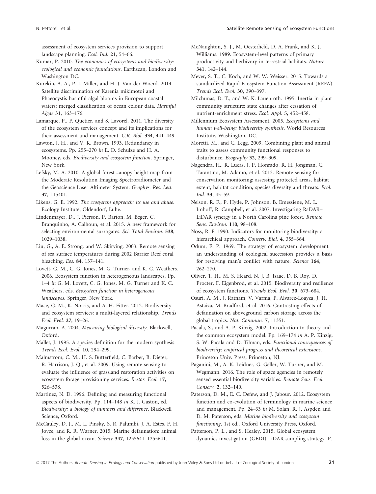assessment of ecosystem services provision to support landscape planning. Ecol. Ind. 21, 54–66.

Kumar, P. 2010. The economics of ecosystems and biodiversity: ecological and economic foundations. Earthscan, London and Washington DC.

Kurekin, A. A., P. I. Miller, and H. J. Van der Woerd. 2014. Satellite discrimination of Karenia mikimotoi and Phaeocystis harmful algal blooms in European coastal waters: merged classification of ocean colour data. Harmful Algae 31, 163–176.

Lamarque, P., F. Quetier, and S. Lavorel. 2011. The diversity of the ecosystem services concept and its implications for their assessment and management. C.R. Biol. 334, 441–449.

Lawton, J. H., and V. K. Brown. 1993. Redundancy in ecosystems. Pp. 255–270 in E. D. Schulze and H. A. Mooney, eds. Biodiversity and ecosystem function. Springer, New York.

Lefsky, M. A. 2010. A global forest canopy height map from the Moderate Resolution Imaging Spectroradiometer and the Geoscience Laser Altimeter System. Geophys. Res. Lett. 37, L15401.

Likens, G. E. 1992. The ecosystem approach: its use and abuse. Ecology Institute, Oldendorf, Luhe.

Lindenmayer, D., J. Pierson, P. Barton, M. Beger, C. Branquinho, A. Calhoun, et al. 2015. A new framework for selecting environmental surrogates. Sci. Total Environ. 538, 1029–1038.

Liu, G., A. E. Strong, and W. Skirving. 2003. Remote sensing of sea surface temperatures during 2002 Barrier Reef coral bleaching. Eos. 84, 137–141.

Lovett, G. M., C. G. Jones, M. G. Turner, and K. C. Weathers. 2006. Ecosystem function in heterogeneous landscapes. Pp. 1–4 in G. M. Lovett, C. G. Jones, M. G. Turner and K. C. Weathers, eds. Ecosystem function in heterogeneous landscapes. Springer, New York.

Mace, G. M., K. Norris, and A. H. Fitter. 2012. Biodiversity and ecosystem services: a multi-layered relationship. Trends Ecol. Evol. 27, 19–26.

Magurran, A. 2004. Measuring biological diversity. Blackwell, Oxford.

Mallet, J. 1995. A species definition for the modern synthesis. Trends Ecol. Evol. 10, 294–299.

Malmstrom, C. M., H. S. Butterfield, C. Barber, B. Dieter, R. Harrison, J. Qi, et al. 2009. Using remote sensing to evaluate the influence of grassland restoration activities on ecosystem forage provisioning services. Restor. Ecol. 17, 526–538.

Martinez, N. D. 1996. Defining and measuring functional aspects of biodiversity. Pp. 114–148 in K. J. Gaston, ed. Biodiversity: a biology of numbers and difference. Blackwell Science, Oxford.

McCauley, D. J., M. L. Pinsky, S. R. Palumbi, J. A. Estes, F. H. Joyce, and R. R. Warner. 2015. Marine defaunation: animal loss in the global ocean. Science 347, 1255641–1255641.

McNaughton, S. J., M. Oesterheld, D. A. Frank, and K. J. Williams. 1989. Ecosystem-level patterns of primary productivity and herbivory in terrestrial habitats. Nature 341, 142–144.

Meyer, S. T., C. Koch, and W. W. Weisser. 2015. Towards a standardized Rapid Ecosystem Function Assessment (REFA). Trends Ecol. Evol. 30, 390–397.

Milchunas, D. T., and W. K. Lauenroth. 1995. Inertia in plant community structure: state changes after cessation of nutrient-enrichment stress. Ecol. Appl. 5, 452–458.

Millennium Ecosystem Assessment. 2005. Ecosystems and human well-being: biodiversity synthesis. World Resources Institute, Washington, DC.

Moretti, M., and C. Legg. 2009. Combining plant and animal traits to assess community functional responses to disturbance. Ecography 32, 299–309.

Nagendra, H., R. Lucas, J. P. Honrado, R. H. Jongman, C. Tarantino, M. Adamo, et al. 2013. Remote sensing for conservation monitoring: assessing protected areas, habitat extent, habitat condition, species diversity and threats. Ecol. Ind. 33, 45–59.

Nelson, R. F., P. Hyde, P. Johnson, B. Emessiene, M. L. Imhoff, R. Campbell, et al. 2007. Investigating RaDAR– LiDAR synergy in a North Carolina pine forest. Remote Sens. Environ. 110, 98–108.

Noss, R. F. 1990. Indicators for monitoring biodiversity: a hierarchical approach. Conserv. Biol. 4, 355–364.

Odum, E. P. 1969. The strategy of ecosystem development: an understanding of ecological succession provides a basis for resolving man's conflict with nature. Science 164, 262–270.

Oliver, T. H., M. S. Heard, N. J. B. Isaac, D. B. Roy, D. Procter, F. Eigenbrod, et al. 2015. Biodiversity and resilience of ecosystem functions. Trends Ecol. Evol. 30, 673–684.

Osuri, A. M., J. Ratnam, V. Varma, P. Alvarez-Loayza, J. H. Astaiza, M. Bradford, et al. 2016. Contrasting effects of defaunation on aboveground carbon storage across the global tropics. Nat. Commun. 7, 11351.

Pacala, S., and A. P. Kinzig. 2002. Introduction to theory and the common ecosystem model. Pp. 169–174 in A. P. Kinzig, S. W. Pacala and D. Tilman, eds. Functional consequences of biodiversity: empirical progress and theoretical extensions. Princeton Univ. Press, Princeton, NJ.

Paganini, M., A. K. Leidner, G. Geller, W. Turner, and M. Wegmann. 2016. The role of space agencies in remotely sensed essential biodiversity variables. Remote Sens. Ecol. Conserv. 2, 132–140.

Paterson, D. M., E. C. Defew, and J. Jabour. 2012. Ecosystem function and co-evolution of terminology in marine science and management. Pp. 24–33 in M. Solan, R. J. Aspden and D. M. Paterson, eds. Marine biodiversity and ecosystem functioning, 1st ed.. Oxford University Press, Oxford.

Patterson, P. L., and S. Healey. 2015. Global ecosystem dynamics investigation (GEDI) LiDAR sampling strategy. P.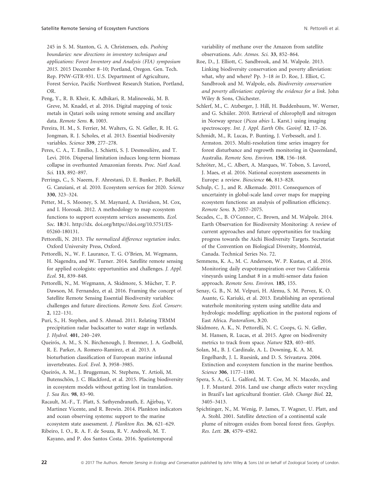245 in S. M. Stanton, G. A. Christensen, eds. Pushing boundaries: new directions in inventory techniques and applications: Forest Inventory and Analysis (FIA) symposium 2015. 2015 December 8–10; Portland, Oregon. Gen. Tech. Rep. PNW-GTR-931. U.S. Department of Agriculture, Forest Service, Pacific Northwest Research Station, Portland, OR.

- Peng, Y., R. B. Kheir, K. Adhikari, R. Malinowski, M. B. Greve, M. Knadel, et al. 2016. Digital mapping of toxic metals in Qatari soils using remote sensing and ancillary data. Remote Sens. 8, 1003.
- Pereira, H. M., S. Ferrier, M. Walters, G. N. Geller, R. H. G. Jongman, R. J. Scholes, et al. 2013. Essential biodiversity variables. Science 339, 277–278.
- Peres, C. A., T. Emilio, J. Schietti, S. J. Desmouliere, and T. Levi. 2016. Dispersal limitation induces long-term biomass collapse in overhunted Amazonian forests. Proc. Natl Acad. Sci. 113, 892–897.
- Perrings, C., S. Naeem, F. Ahrestani, D. E. Bunker, P. Burkill, G. Canziani, et al. 2010. Ecosystem services for 2020. Science 330, 323–324.
- Petter, M., S. Mooney, S. M. Maynard, A. Davidson, M. Cox, and I. Horosak. 2012. A methodology to map ecosystem functions to support ecosystem services assessments. Ecol. Soc. 18:31. http://dx. doi.org/[https://doi.org/10.5751/ES-](https://doi.org/10.5751/ES-05260-180131)[05260-180131](https://doi.org/10.5751/ES-05260-180131).
- Pettorelli, N. 2013. The normalized difference vegetation index. Oxford University Press, Oxford.
- Pettorelli, N., W. F. Laurance, T. G. O'Brien, M. Wegmann, H. Nagendra, and W. Turner. 2014. Satellite remote sensing for applied ecologists: opportunities and challenges. J. Appl. Ecol. 51, 839–848.
- Pettorelli, N., M. Wegmann, A. Skidmore, S. Mücher, T. P. Dawson, M. Fernandez, et al. 2016. Framing the concept of Satellite Remote Sensing Essential Biodiversity variables: challenges and future directions. Remote Sens. Ecol. Conserv. 2, 122–131.
- Puri, S., H. Stephen, and S. Ahmad. 2011. Relating TRMM precipitation radar backscatter to water stage in wetlands. J. Hydrol. 401, 240–249.
- Queirós, A. M., S. N. Birchenough, J. Bremner, J. A. Godbold, R. E. Parker, A. Romero-Ramirez, et al. 2013. A bioturbation classification of European marine infaunal invertebrates. Ecol. Evol. 3, 3958–3985.
- Queirós, A. M., J. Bruggeman, N. Stephens, Y. Artioli, M. Butenschön, J. C. Blackford, et al. 2015. Placing biodiversity in ecosystem models without getting lost in translation. J. Sea Res. 98, 83–90.
- Racault, M.-F., T. Platt, S. Sathyendranath, E. Agirbas, V. Martinez Vicente, and R. Brewin. 2014. Plankton indicators and ocean observing systems: support to the marine ecosystem state assessment. J. Plankton Res. 36, 621–629.
- Ribeiro, I. O., R. A. F. de Souza, R. V. Andreoli, M. T. Kayano, and P. dos Santos Costa. 2016. Spatiotemporal

variability of methane over the Amazon from satellite observations. Adv. Atmos. Sci. 33, 852–864.

- Roe, D., J. Elliott, C. Sandbrook, and M. Walpole. 2013. Linking biodiversity conservation and poverty alleviation: what, why and where? Pp. 3–18 in D. Roe, J. Elliot, C. Sandbrook and M. Walpole, eds. Biodiversity conservation and poverty alleviation: exploring the evidence for a link. John Wiley & Sons, Chichester.
- Schlerf, M., C. Atzberger, J. Hill, H. Buddenbaum, W. Werner, and G. Schüler. 2010. Retrieval of chlorophyll and nitrogen in Norway spruce (Picea abies L. Karst.) using imaging spectroscopy. Int. J. Appl. Earth Obs. Geoinf. 12, 17-26.
- Schmidt, M., R. Lucas, P. Bunting, J. Verbesselt, and J. Armston. 2015. Multi-resolution time series imagery for forest disturbance and regrowth monitoring in Queensland, Australia. Remote Sens. Environ. 158, 156–168.
- Schröter, M., C. Albert, A. Marques, W. Tobon, S. Lavorel, J. Maes, et al. 2016. National ecosystem assessments in Europe: a review. Bioscience 66, 813–828.
- Schulp, C. J., and R. Alkemade. 2011. Consequences of uncertainty in global-scale land cover maps for mapping ecosystem functions: an analysis of pollination efficiency. Remote Sens. 3, 2057–2075.
- Secades, C., B. O'Connor, C. Brown, and M. Walpole. 2014. Earth Observation for Biodiversity Monitoring: A review of current approaches and future opportunities for tracking progress towards the Aichi Biodiversity Targets. Secretariat of the Convention on Biological Diversity, Montréal, Canada. Technical Series No. 72.
- Semmens, K. A., M. C. Anderson, W. P. Kustas, et al. 2016. Monitoring daily evapotranspiration over two California vineyards using Landsat 8 in a multi-sensor data fusion approach. Remote Sens. Environ. 185, 155.
- Senay, G. B., N. M. Velpuri, H. Alemu, S. M. Pervez, K. O. Asante, G. Kariuki, et al. 2013. Establishing an operational waterhole monitoring system using satellite data and hydrologic modelling: application in the pastoral regions of East Africa. Pastoralism, 3:20.
- Skidmore, A. K., N. Pettorelli, N. C. Coops, G. N. Geller, M. Hansen, R. Lucas, et al. 2015. Agree on biodiversity metrics to track from space. Nature 523, 403–405.
- Solan, M., B. J. Cardinale, A. L. Downing, K. A. M. Engelhardt, J. L. Ruesink, and D. S. Srivastava. 2004. Extinction and ecosystem function in the marine benthos. Science 306, 1177–1180.
- Spera, S. A., G. L. Galford, M. T. Coe, M. N. Macedo, and J. F. Mustard. 2016. Land use change affects water recycling in Brazil's last agricultural frontier. Glob. Change Biol. 22, 3405–3413.
- Spichtinger, N., M. Wenig, P. James, T. Wagner, U. Platt, and A. Stohl. 2001. Satellite detection of a continental scale plume of nitrogen oxides from boreal forest fires. Geophys. Res. Lett. 28, 4579–4582.